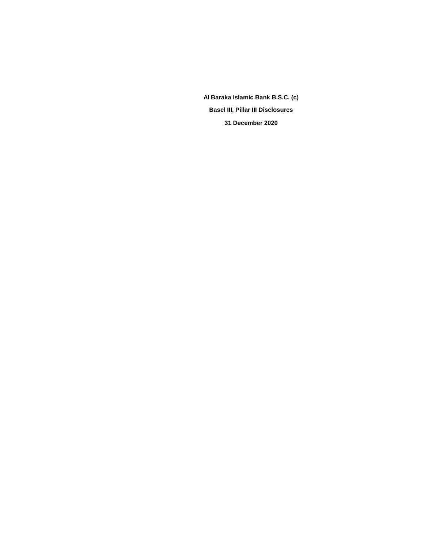**Al Baraka Islamic Bank B.S.C. (c) Basel III, Pillar III Disclosures 31 December 2020**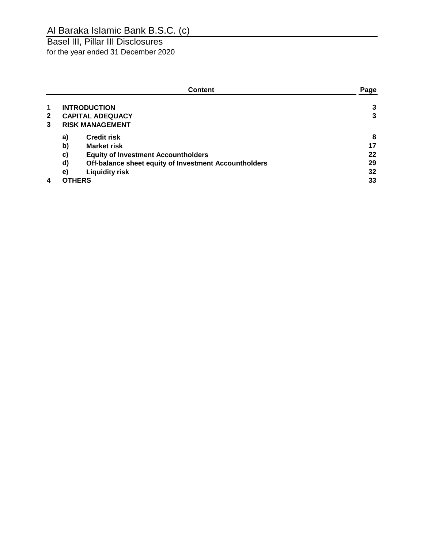Basel III, Pillar III Disclosures for the year ended 31 December 2020

|              |                        | Page                                                  |    |
|--------------|------------------------|-------------------------------------------------------|----|
| $\mathbf 1$  |                        | <b>INTRODUCTION</b>                                   | 3  |
| $\mathbf{2}$ |                        | <b>CAPITAL ADEQUACY</b>                               | 3  |
| 3            | <b>RISK MANAGEMENT</b> |                                                       |    |
|              | a)                     | <b>Credit risk</b>                                    | 8  |
|              | b)                     | <b>Market risk</b>                                    | 17 |
|              | c)                     | <b>Equity of Investment Accountholders</b>            | 22 |
|              | d)                     | Off-balance sheet equity of Investment Accountholders | 29 |
|              | $\mathbf{e})$          | <b>Liquidity risk</b>                                 | 32 |
| 4            |                        | <b>OTHERS</b>                                         | 33 |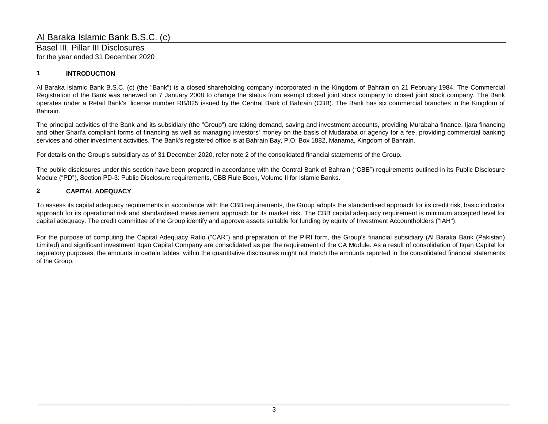Basel III, Pillar III Disclosures for the year ended 31 December 2020

## **1 INTRODUCTION**

Al Baraka Islamic Bank B.S.C. (c) (the "Bank") is a closed shareholding company incorporated in the Kingdom of Bahrain on 21 February 1984. The Commercial Registration of the Bank was renewed on 7 January 2008 to change the status from exempt closed joint stock company to closed joint stock company. The Bank operates under a Retail Bank's license number RB/025 issued by the Central Bank of Bahrain (CBB). The Bank has six commercial branches in the Kingdom of Bahrain.

The principal activities of the Bank and its subsidiary (the "Group") are taking demand, saving and investment accounts, providing Murabaha finance, Ijara financing and other Shari'a compliant forms of financing as well as managing investors' money on the basis of Mudaraba or agency for a fee, providing commercial banking services and other investment activities. The Bank's registered office is at Bahrain Bay, P.O. Box 1882, Manama, Kingdom of Bahrain.

For details on the Group's subsidiary as of 31 December 2020, refer note 2 of the consolidated financial statements of the Group.

The public disclosures under this section have been prepared in accordance with the Central Bank of Bahrain ("CBB") requirements outlined in its Public Disclosure Module ("PD"), Section PD-3: Public Disclosure requirements, CBB Rule Book, Volume II for Islamic Banks.

## **2 CAPITAL ADEQUACY**

To assess its capital adequacy requirements in accordance with the CBB requirements, the Group adopts the standardised approach for its credit risk, basic indicator approach for its operational risk and standardised measurement approach for its market risk. The CBB capital adequacy requirement is minimum accepted level for capital adequacy. The credit committee of the Group identify and approve assets suitable for funding by equity of Investment Accountholders ("IAH").

For the purpose of computing the Capital Adequacy Ratio ("CAR") and preparation of the PIRI form, the Group's financial subsidiary (Al Baraka Bank (Pakistan) Limited) and significant investment Itqan Capital Company are consolidated as per the requirement of the CA Module. As a result of consolidation of Itqan Capital for regulatory purposes, the amounts in certain tables within the quantitative disclosures might not match the amounts reported in the consolidated financial statements of the Group.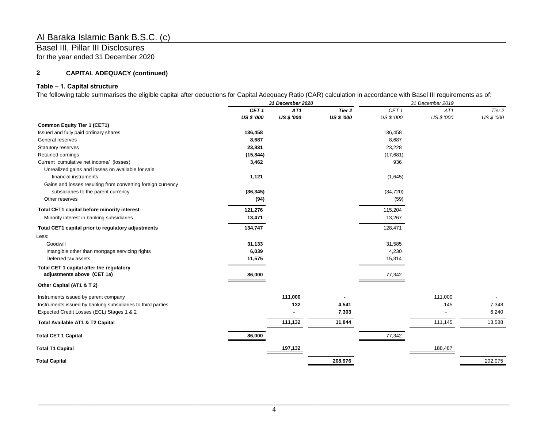Basel III, Pillar III Disclosures for the year ended 31 December 2020

## **2 CAPITAL ADEQUACY (continued)**

## **Table – 1. Capital structure**

The following table summarises the eligible capital after deductions for Capital Adequacy Ratio (CAR) calculation in accordance with Basel III requirements as of:

|                                                             | 31 December 2020 |                   |                   | 31 December 2019 |            |            |  |
|-------------------------------------------------------------|------------------|-------------------|-------------------|------------------|------------|------------|--|
|                                                             | CET <sub>1</sub> | AT1               | Tier <sub>2</sub> | CET <sub>1</sub> | AT1        | Tier 2     |  |
|                                                             | US \$ '000       | <b>US \$ '000</b> | <b>US \$ '000</b> | US \$ '000       | US \$ '000 | US \$ '000 |  |
| <b>Common Equity Tier 1 (CET1)</b>                          |                  |                   |                   |                  |            |            |  |
| Issued and fully paid ordinary shares                       | 136,458          |                   |                   | 136,458          |            |            |  |
| General reserves                                            | 8,687            |                   |                   | 8,687            |            |            |  |
| <b>Statutory reserves</b>                                   | 23,831           |                   |                   | 23,228           |            |            |  |
| Retained earnings                                           | (15, 844)        |                   |                   | (17,681)         |            |            |  |
| Current cumulative net income/ (losses)                     | 3,462            |                   |                   | 936              |            |            |  |
| Unrealized gains and losses on available for sale           |                  |                   |                   |                  |            |            |  |
| financial instruments                                       | 1,121            |                   |                   | (1,645)          |            |            |  |
| Gains and losses resulting from converting foreign currency |                  |                   |                   |                  |            |            |  |
| subsidiaries to the parent currency                         | (36, 345)        |                   |                   | (34, 720)        |            |            |  |
| Other reserves                                              | (94)             |                   |                   | (59)             |            |            |  |
| Total CET1 capital before minority interest                 | 121,276          |                   |                   | 115,204          |            |            |  |
| Minority interest in banking subsidiaries                   | 13,471           |                   |                   | 13,267           |            |            |  |
| Total CET1 capital prior to regulatory adjustments          | 134,747          |                   |                   | 128,471          |            |            |  |
| Less:                                                       |                  |                   |                   |                  |            |            |  |
| Goodwill                                                    | 31,133           |                   |                   | 31,585           |            |            |  |
| Intangible other than mortgage servicing rights             | 6,039            |                   |                   | 4,230            |            |            |  |
| Deferred tax assets                                         | 11,575           |                   |                   | 15,314           |            |            |  |
| Total CET 1 capital after the regulatory                    |                  |                   |                   |                  |            |            |  |
| adjustments above (CET 1a)                                  | 86,000           |                   |                   | 77,342           |            |            |  |
| Other Capital (AT1 & T 2)                                   |                  |                   |                   |                  |            |            |  |
| Instruments issued by parent company                        |                  | 111,000           |                   |                  | 111,000    |            |  |
| Instruments issued by banking subsidiaries to third parties |                  | 132               | 4,541             |                  | 145        | 7,348      |  |
| Expected Credit Losses (ECL) Stages 1 & 2                   |                  |                   | 7,303             |                  |            | 6,240      |  |
| Total Available AT1 & T2 Capital                            |                  | 111,132           | 11,844            |                  | 111,145    | 13,588     |  |
| <b>Total CET 1 Capital</b>                                  | 86,000           |                   |                   | 77,342           |            |            |  |
| <b>Total T1 Capital</b>                                     |                  | 197,132           |                   |                  | 188,487    |            |  |
| <b>Total Capital</b>                                        |                  |                   | 208,976           |                  |            | 202,075    |  |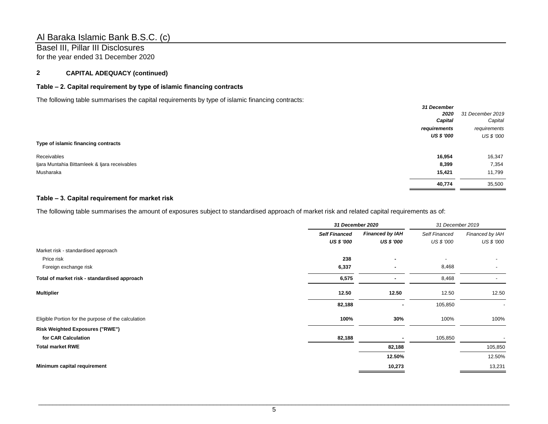Basel III, Pillar III Disclosures for the year ended 31 December 2020

## **2 CAPITAL ADEQUACY (continued)**

## **Table – 2. Capital requirement by type of islamic financing contracts**

The following table summarises the capital requirements by type of islamic financing contracts:

|                                               | 31 December  |                  |
|-----------------------------------------------|--------------|------------------|
|                                               | 2020         | 31 December 2019 |
|                                               | Capital      | Capital          |
|                                               | requirements | requirements     |
|                                               | US \$ '000   | US \$ '000       |
| Type of islamic financing contracts           |              |                  |
| Receivables                                   | 16,954       | 16,347           |
| Ijara Muntahia Bittamleek & Ijara receivables | 8,399        | 7,354            |
| Musharaka                                     | 15,421       | 11,799           |
|                                               | 40,774       | 35,500           |

## **Table – 3. Capital requirement for market risk**

The following table summarises the amount of exposures subject to standardised approach of market risk and related capital requirements as of:

|                                                     | 31 December 2020     |                        | 31 December 2019 |                          |
|-----------------------------------------------------|----------------------|------------------------|------------------|--------------------------|
|                                                     | <b>Self Financed</b> | <b>Financed by IAH</b> | Self Financed    | Financed by IAH          |
|                                                     | <b>US \$ '000</b>    | <b>US \$ '000</b>      | US \$ '000       | US \$ '000               |
| Market risk - standardised approach                 |                      |                        |                  |                          |
| Price risk                                          | 238                  |                        |                  |                          |
| Foreign exchange risk                               | 6,337                |                        | 8,468            | $\overline{\phantom{a}}$ |
| Total of market risk - standardised approach        | 6,575                |                        | 8,468            | ٠                        |
| <b>Multiplier</b>                                   | 12.50                | 12.50                  | 12.50            | 12.50                    |
|                                                     | 82,188               |                        | 105,850          |                          |
| Eligible Portion for the purpose of the calculation | 100%                 | 30%                    | 100%             | 100%                     |
| <b>Risk Weighted Exposures ("RWE")</b>              |                      |                        |                  |                          |
| for CAR Calculation                                 | 82,188               |                        | 105,850          |                          |
| <b>Total market RWE</b>                             |                      | 82,188                 |                  | 105,850                  |
|                                                     |                      | 12.50%                 |                  | 12.50%                   |
| Minimum capital requirement                         |                      | 10,273                 |                  | 13,231                   |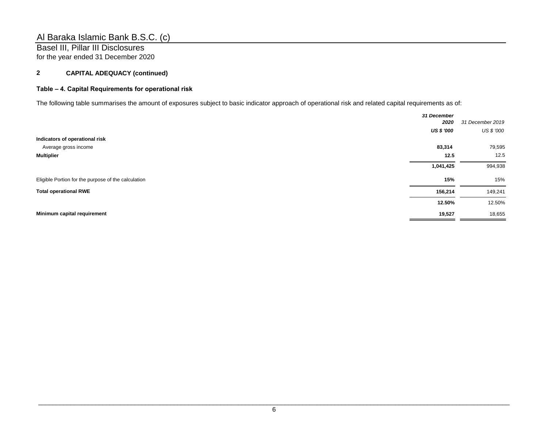Basel III, Pillar III Disclosures for the year ended 31 December 2020

## **2 CAPITAL ADEQUACY (continued)**

## **Table – 4. Capital Requirements for operational risk**

The following table summarises the amount of exposures subject to basic indicator approach of operational risk and related capital requirements as of:

|                                                     | 31 December       |                  |
|-----------------------------------------------------|-------------------|------------------|
|                                                     | 2020              | 31 December 2019 |
|                                                     | <b>US \$ '000</b> | US \$ '000       |
| Indicators of operational risk                      |                   |                  |
| Average gross income                                | 83,314            | 79,595           |
| <b>Multiplier</b>                                   | 12.5              | 12.5             |
|                                                     | 1,041,425         | 994,938          |
| Eligible Portion for the purpose of the calculation | 15%               | 15%              |
| <b>Total operational RWE</b>                        | 156,214           | 149,241          |
|                                                     | 12.50%            | 12.50%           |
| Minimum capital requirement                         | 19,527            | 18,655           |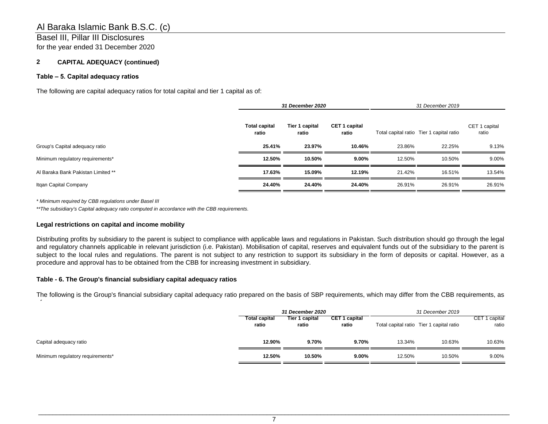## Basel III, Pillar III Disclosures

for the year ended 31 December 2020

## **2 CAPITAL ADEQUACY (continued)**

### **Table – 5. Capital adequacy ratios**

The following are capital adequacy ratios for total capital and tier 1 capital as of:

|                                    | <b>31 December 2020</b>       |                         |                               | 31 December 2019 |                                          |                        |
|------------------------------------|-------------------------------|-------------------------|-------------------------------|------------------|------------------------------------------|------------------------|
|                                    | <b>Total capital</b><br>ratio | Tier 1 capital<br>ratio | <b>CET 1 capital</b><br>ratio |                  | Total capital ratio Tier 1 capital ratio | CET 1 capital<br>ratio |
| Group's Capital adequacy ratio     | 25.41%                        | 23.97%                  | 10.46%                        | 23.86%           | 22.25%                                   | 9.13%                  |
| Minimum regulatory requirements*   | 12.50%                        | 10.50%                  | $9.00\%$                      | 12.50%           | 10.50%                                   | 9.00%                  |
| Al Baraka Bank Pakistan Limited ** | 17.63%                        | 15.09%                  | 12.19%                        | 21.42%           | 16.51%                                   | 13.54%                 |
| Itgan Capital Company              | 24.40%                        | 24.40%                  | 24.40%                        | 26.91%           | 26.91%                                   | 26.91%                 |

*\* Minimum required by CBB regulations under Basel III*

of:

*\*\*The subsidiary's Capital adequacy ratio computed in accordance with the CBB requirements.* 

#### **Legal restrictions on capital and income mobility**

Distributing profits by subsidiary to the parent is subject to compliance with applicable laws and regulations in Pakistan. Such distribution should go through the legal and regulatory channels applicable in relevant jurisdiction (i.e. Pakistan). Mobilisation of capital, reserves and equivalent funds out of the subsidiary to the parent is subject to the local rules and regulations. The parent is not subject to any restriction to support its subsidiary in the form of deposits or capital. However, as a procedure and approval has to be obtained from the CBB for increasing investment in subsidiary.

#### **Table - 6. The Group's financial subsidiary capital adequacy ratios**

The following is the Group's financial subsidiary capital adequacy ratio prepared on the basis of SBP requirements, which may differ from the CBB requirements, as

|                                  | 31 December 2020              |                         |                               | 31 December 2019 |                                          |                           |
|----------------------------------|-------------------------------|-------------------------|-------------------------------|------------------|------------------------------------------|---------------------------|
|                                  | <b>Total capital</b><br>ratio | Tier 1 capital<br>ratio | <b>CET 1 capital</b><br>ratio |                  | Total capital ratio Tier 1 capital ratio | 1 capital<br>CET<br>ratio |
| Capital adequacy ratio           | 12.90%                        | 9.70%                   | 9.70%                         | 13.34%           | 10.63%                                   | 10.63%                    |
| Minimum regulatory requirements* | 12.50%                        | 10.50%                  | $9.00\%$                      | 12.50%           | 10.50%                                   | 9.00%                     |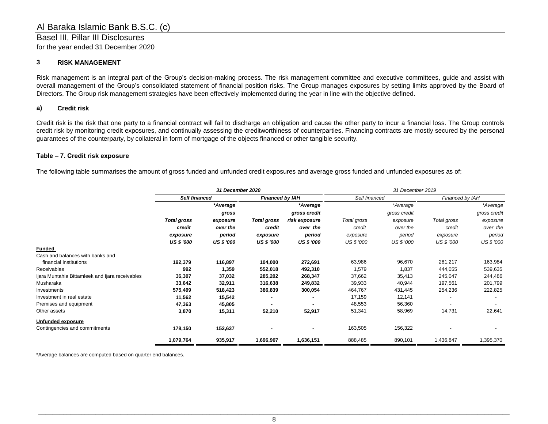## **3 RISK MANAGEMENT**

Risk management is an integral part of the Group's decision-making process. The risk management committee and executive committees, guide and assist with overall management of the Group's consolidated statement of financial position risks. The Group manages exposures by setting limits approved by the Board of Directors. The Group risk management strategies have been effectively implemented during the year in line with the objective defined.

## **a) Credit risk**

Credit risk is the risk that one party to a financial contract will fail to discharge an obligation and cause the other party to incur a financial loss. The Group controls credit risk by monitoring credit exposures, and continually assessing the creditworthiness of counterparties. Financing contracts are mostly secured by the personal guarantees of the counterparty, by collateral in form of mortgage of the objects financed or other tangible security.

#### **Table – 7. Credit risk exposure**

The following table summarises the amount of gross funded and unfunded credit exposures and average gross funded and unfunded exposures as of:

|                                                 | 31 December 2020     |                   |                        |                   | 31 December 2019 |              |                 |              |
|-------------------------------------------------|----------------------|-------------------|------------------------|-------------------|------------------|--------------|-----------------|--------------|
|                                                 | <b>Self financed</b> |                   | <b>Financed by IAH</b> |                   | Self financed    |              | Financed by IAH |              |
|                                                 |                      | *Average          |                        | *Average          |                  | *Average     |                 | *Average     |
|                                                 |                      | gross             |                        | gross credit      |                  | gross credit |                 | gross credit |
|                                                 | <b>Total gross</b>   | exposure          | <b>Total gross</b>     | risk exposure     | Total gross      | exposure     | Total gross     | exposure     |
|                                                 | credit               | over the          | credit                 | over the          | credit           | over the     | credit          | over the     |
|                                                 | exposure             | period            | exposure               | period            | exposure         | period       | exposure        | period       |
|                                                 | <b>US \$ '000</b>    | <b>US \$ '000</b> | <b>US \$ '000</b>      | <b>US \$ '000</b> | US \$ '000       | US \$ '000   | US \$ '000      | US \$ '000   |
| <b>Funded</b>                                   |                      |                   |                        |                   |                  |              |                 |              |
| Cash and balances with banks and                |                      |                   |                        |                   |                  |              |                 |              |
| financial institutions                          | 192,379              | 116,897           | 104,000                | 272,691           | 63,986           | 96,670       | 281,217         | 163,984      |
| <b>Receivables</b>                              | 992                  | 1,359             | 552,018                | 492,310           | 1,579            | 1,837        | 444,055         | 539,635      |
| Ijara Muntahia Bittamleek and Ijara receivables | 36,307               | 37,032            | 285,202                | 268,347           | 37,662           | 35,413       | 245,047         | 244,486      |
| Musharaka                                       | 33,642               | 32,911            | 316,638                | 249,832           | 39,933           | 40,944       | 197,561         | 201,799      |
| Investments                                     | 575,499              | 518,423           | 386,839                | 300,054           | 464,767          | 431,445      | 254,236         | 222,825      |
| Investment in real estate                       | 11,562               | 15,542            |                        |                   | 17,159           | 12,141       |                 |              |
| Premises and equipment                          | 47,363               | 45,805            |                        |                   | 48,553           | 56,360       |                 |              |
| Other assets                                    | 3,870                | 15,311            | 52,210                 | 52,917            | 51,341           | 58,969       | 14,731          | 22,641       |
| Unfunded exposure                               |                      |                   |                        |                   |                  |              |                 |              |
| Contingencies and commitments                   | 178,150              | 152,637           |                        |                   | 163,505          | 156,322      |                 |              |
|                                                 | 1,079,764            | 935,917           | 1,696,907              | 1,636,151         | 888,485          | 890,101      | 1,436,847       | 1,395,370    |

\*Average balances are computed based on quarter end balances.

Basel III, Pillar III Disclosures for the year ended 31 December 2020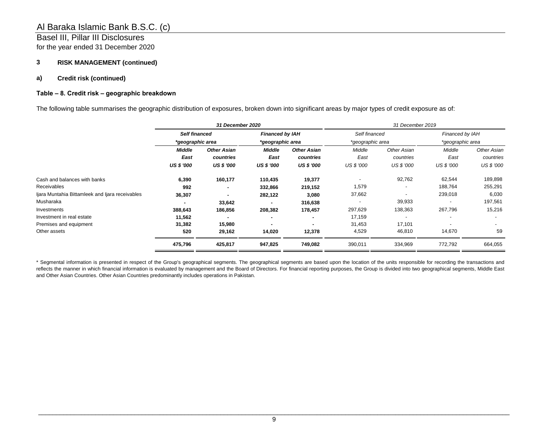## Basel III, Pillar III Disclosures for the year ended 31 December 2020

## **3 RISK MANAGEMENT (continued)**

#### **a) Credit risk (continued)**

### **Table – 8. Credit risk – geographic breakdown**

The following table summarises the geographic distribution of exposures, broken down into significant areas by major types of credit exposure as of:

|                                                 | 31 December 2020     |                    |                                            |                    | 31 December 2019 |                          |                  |                   |
|-------------------------------------------------|----------------------|--------------------|--------------------------------------------|--------------------|------------------|--------------------------|------------------|-------------------|
|                                                 | <b>Self financed</b> |                    | <b>Financed by IAH</b><br>*geographic area |                    | Self financed    |                          | Financed by IAH  |                   |
|                                                 | *geographic area     |                    |                                            |                    | *geographic area |                          | *geographic area |                   |
|                                                 | Middle               | <b>Other Asian</b> | Middle                                     | <b>Other Asian</b> | Middle           | Other Asian<br>countries | Middle<br>East   | Other Asian       |
|                                                 | East                 | countries          | East                                       | countries          | East             |                          |                  | countries         |
|                                                 | <b>US \$ '000</b>    | <b>US \$ '000</b>  | <b>US \$ '000</b>                          | <b>US \$ '000</b>  | US \$ '000       | US \$ '000               | US \$ '000       | <b>US \$ '000</b> |
| Cash and balances with banks                    | 6,390                | 160,177            | 110,435                                    | 19,377             |                  | 92,762                   | 62,544           | 189,898           |
| Receivables                                     | 992                  | ٠                  | 332,866                                    | 219,152            | 1,579            |                          | 188,764          | 255,291           |
| liara Muntahia Bittamleek and liara receivables | 36,307               |                    | 282,122                                    | 3,080              | 37,662           |                          | 239,018          | 6,030             |
| Musharaka                                       |                      | 33,642             |                                            | 316,638            |                  | 39,933                   |                  | 197,561           |
| Investments                                     | 388,643              | 186,856            | 208,382                                    | 178,457            | 297,629          | 138,363                  | 267,796          | 15,216            |
| Investment in real estate                       | 11,562               |                    |                                            | $\blacksquare$     | 17,159           |                          |                  |                   |
| Premises and equipment                          | 31,382               | 15,980             |                                            |                    | 31,453           | 17,101                   |                  | $\sim$            |
| Other assets                                    | 520                  | 29,162             | 14,020                                     | 12,378             | 4,529            | 46,810                   | 14,670           | 59                |
|                                                 | 475,796              | 425,817            | 947,825                                    | 749,082            | 390,011          | 334,969                  | 772,792          | 664,055           |

\* Segmental information is presented in respect of the Group's geographical segments. The geographical segments are based upon the location of the units responsible for recording the transactions and reflects the manner in which financial information is evaluated by management and the Board of Directors. For financial reporting purposes, the Group is divided into two geographical segments, Middle East and Other Asian Countries. Other Asian Countries predominantly includes operations in Pakistan.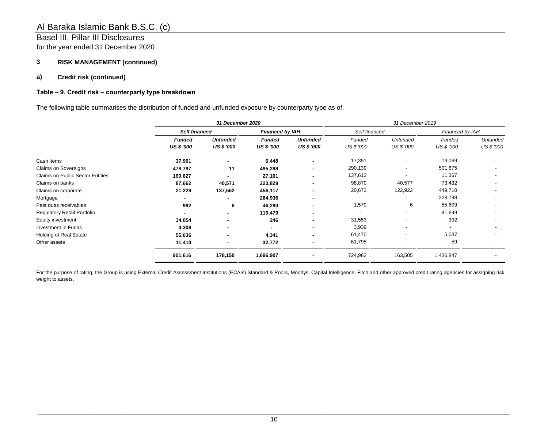## Basel III, Pillar III Disclosures for the year ended 31 December 2020

## **3 RISK MANAGEMENT (continued)**

### **a) Credit risk (continued)**

### **Table – 9. Credit risk – counterparty type breakdown**

The following table summarises the distribution of funded and unfunded exposure by counterparty type as of:

|                                         |                      | 31 December 2020  |                   |                        |            | 31 December 2019 |                          |                          |  |
|-----------------------------------------|----------------------|-------------------|-------------------|------------------------|------------|------------------|--------------------------|--------------------------|--|
|                                         | <b>Self financed</b> |                   |                   | <b>Financed by IAH</b> |            | Self financed    | Financed by IAH          |                          |  |
|                                         | <b>Funded</b>        | <b>Unfunded</b>   | <b>Funded</b>     | <b>Unfunded</b>        | Funded     | <b>Unfunded</b>  | Funded                   | <b>Unfunded</b>          |  |
|                                         | <b>US \$ '000</b>    | <b>US \$ '000</b> | <b>US \$ '000</b> | <b>US \$ '000</b>      | US \$ '000 | US \$ '000       | <b>US \$ '000</b>        | <b>US \$ '000</b>        |  |
| Cash items                              | 37,901               |                   | 6,448             | ۰                      | 17,351     |                  | 19,069                   |                          |  |
| Claims on Sovereigns                    | 478,797              | 11                | 495,288           |                        | 290,139    |                  | 501,675                  |                          |  |
| <b>Claims on Public Sector Entities</b> | 169,627              |                   | 27,161            |                        | 137,613    |                  | 11,367                   |                          |  |
| Claims on banks                         | 87,662               | 40,571            | 223,829           |                        | 98,870     | 40,577           | 73,432                   | $\overline{\phantom{a}}$ |  |
| Claims on corporate                     | 21,229               | 137,562           | 456,117           |                        | 20,673     | 122,922          | 449,710                  |                          |  |
| Mortgage                                |                      |                   | 284,936           | ٠                      |            |                  | 228,798                  | $\overline{\phantom{a}}$ |  |
| Past dues receivables                   | 992                  | 6                 | 46,290            | ۰                      | 1,579      | 6                | 55,609                   | $\overline{\phantom{a}}$ |  |
| Regulatory Retail Portfolio             |                      | ۰                 | 119,479           | ٠                      |            |                  | 91,699                   | $\overline{\phantom{a}}$ |  |
| Equity investment                       | 34,054               | ٠                 | 246               | ٠                      | 31,553     |                  | 392                      | $\overline{\phantom{a}}$ |  |
| Investment in Funds                     | 4,308                | ٠                 |                   | ٠                      | 3,939      |                  | $\overline{\phantom{a}}$ | $\overline{\phantom{a}}$ |  |
| Holding of Real Estate                  | 55,636               | ٠                 | 4,341             | ٠                      | 61,470     |                  | 5,037                    | $\overline{\phantom{a}}$ |  |
| Other assets                            | 11,410               | ٠                 | 32,772            | ٠                      | 61,795     |                  | 59                       | $\overline{\phantom{a}}$ |  |
|                                         | 901,616              | 178,150           | 1,696,907         |                        | 724,982    | 163,505          | 1,436,847                | $\overline{\phantom{0}}$ |  |

For the purpose of rating, the Group is using External Credit Assessment Institutions (ECAIs) Standard & Poors, Moodys, Capital Intelligence, Fitch and other approved credit rating agencies for assigning risk weight to assets.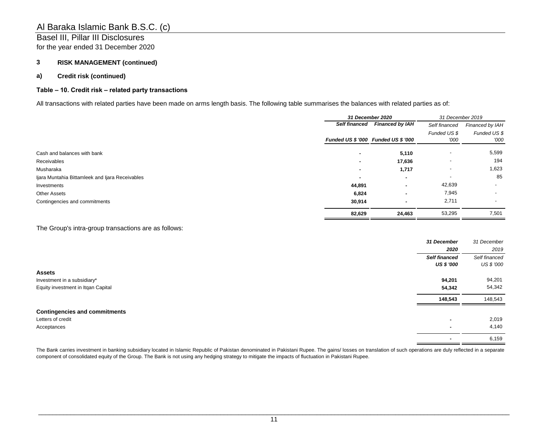# Basel III, Pillar III Disclosures

for the year ended 31 December 2020

## **3 RISK MANAGEMENT (continued)**

## **a) Credit risk (continued)**

## **Table – 10. Credit risk – related party transactions**

All transactions with related parties have been made on arms length basis. The following table summarises the balances with related parties as of:

|                                                 | 31 December 2020                    |                        | 31 December 2019         |                 |
|-------------------------------------------------|-------------------------------------|------------------------|--------------------------|-----------------|
|                                                 | <b>Self financed</b>                | <b>Financed by IAH</b> | Self financed            | Financed by IAH |
|                                                 |                                     |                        | Funded US \$             | Funded US \$    |
|                                                 | Funded US \$ '000 Funded US \$ '000 |                        | '000                     | '000            |
| Cash and balances with bank                     | $\blacksquare$                      | 5,110                  | $\overline{\phantom{0}}$ | 5,599           |
| Receivables                                     | $\blacksquare$                      | 17,636                 | $\,$                     | 194             |
| Musharaka                                       | $\blacksquare$                      | 1,717                  | $\overline{\phantom{a}}$ | 1,623           |
| Ijara Muntahia Bittamleek and Ijara Receivables | $\blacksquare$                      | ۰.                     | $\overline{\phantom{a}}$ | 85              |
| Investments                                     | 44,891                              | ۰                      | 42,639                   |                 |
| <b>Other Assets</b>                             | 6,824                               | ۰                      | 7,945                    |                 |
| Contingencies and commitments                   | 30,914                              |                        | 2,711                    |                 |
|                                                 | 82,629                              | 24,463                 | 53,295                   | 7,501           |

The Group's intra-group transactions are as follows:

|                                      | 31 December          | 31 December   |
|--------------------------------------|----------------------|---------------|
|                                      | 2020                 | 2019          |
|                                      | <b>Self financed</b> | Self financed |
|                                      | <b>US \$ '000</b>    | US \$ '000    |
| <b>Assets</b>                        |                      |               |
| Investment in a subsidiary*          | 94,201               | 94,201        |
| Equity investment in Itgan Capital   | 54,342               | 54,342        |
|                                      | 148,543              | 148,543       |
| <b>Contingencies and commitments</b> |                      |               |
| Letters of credit                    | ۰                    | 2,019         |
| Acceptances                          | ۰                    | 4,140         |
|                                      |                      | 6,159         |

The Bank carries investment in banking subsidiary located in Islamic Republic of Pakistan denominated in Pakistani Rupee. The gains/ losses on translation of such operations are duly reflected in a separate component of consolidated equity of the Group. The Bank is not using any hedging strategy to mitigate the impacts of fluctuation in Pakistani Rupee.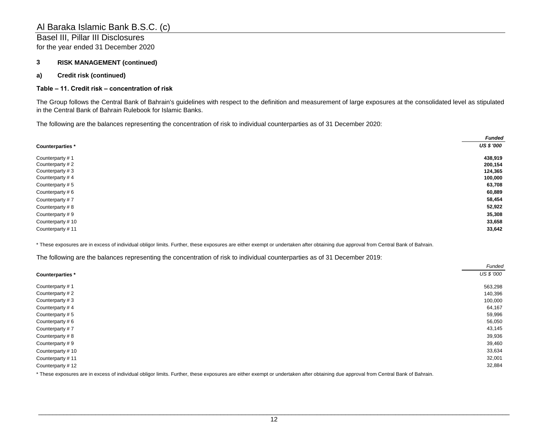## Basel III, Pillar III Disclosures

for the year ended 31 December 2020

## **3 RISK MANAGEMENT (continued)**

## **a) Credit risk (continued)**

#### **Table – 11. Credit risk – concentration of risk**

The Group follows the Central Bank of Bahrain's guidelines with respect to the definition and measurement of large exposures at the consolidated level as stipulated in the Central Bank of Bahrain Rulebook for Islamic Banks.

The following are the balances representing the concentration of risk to individual counterparties as of 31 December 2020:

|                  | <b>Funded</b>     |
|------------------|-------------------|
| Counterparties * | <b>US \$ '000</b> |
| Counterparty #1  | 438,919           |
| Counterparty #2  | 200,154           |
| Counterparty #3  | 124,365           |
| Counterparty #4  | 100,000           |
| Counterparty #5  | 63,708            |
| Counterparty #6  | 60,889            |
| Counterparty #7  | 58,454            |
| Counterparty #8  | 52,922            |
| Counterparty #9  | 35,308            |
| Counterparty #10 | 33,658            |
| Counterparty #11 | 33,642            |

\* These exposures are in excess of individual obligor limits. Further, these exposures are either exempt or undertaken after obtaining due approval from Central Bank of Bahrain.

The following are the balances representing the concentration of risk to individual counterparties as of 31 December 2019:

|                  | Funded     |
|------------------|------------|
| Counterparties * | US \$ '000 |
| Counterparty #1  | 563,298    |
| Counterparty #2  | 140,396    |
| Counterparty #3  | 100,000    |
| Counterparty #4  | 64,167     |
| Counterparty #5  | 59,996     |
| Counterparty #6  | 56,050     |
| Counterparty #7  | 43,145     |
| Counterparty #8  | 39,936     |
| Counterparty #9  | 39,460     |
| Counterparty #10 | 33,634     |
| Counterparty #11 | 32,001     |
| Counterparty #12 | 32,884     |

\* These exposures are in excess of individual obligor limits. Further, these exposures are either exempt or undertaken after obtaining due approval from Central Bank of Bahrain.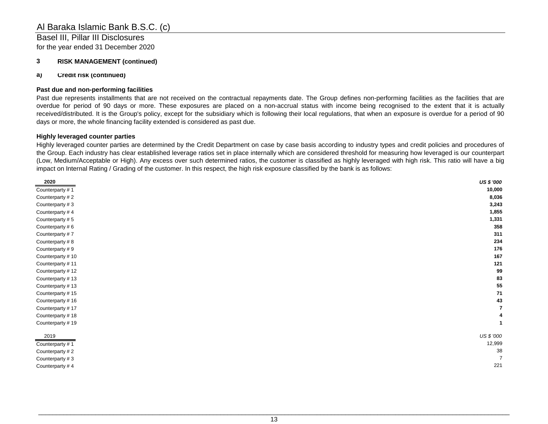Basel III, Pillar III Disclosures for the year ended 31 December 2020

## **3 RISK MANAGEMENT (continued)**

#### **a) Credit risk (continued)**

#### **Past due and non-performing facilities**

Past due represents installments that are not received on the contractual repayments date. The Group defines non-performing facilities as the facilities that are overdue for period of 90 days or more. These exposures are placed on a non-accrual status with income being recognised to the extent that it is actually received/distributed. It is the Group's policy, except for the subsidiary which is following their local regulations, that when an exposure is overdue for a period of 90 days or more, the whole financing facility extended is considered as past due.

#### **Highly leveraged counter parties**

Highly leveraged counter parties are determined by the Credit Department on case by case basis according to industry types and credit policies and procedures of the Group. Each industry has clear established leverage ratios set in place internally which are considered threshold for measuring how leveraged is our counterpart (Low, Medium/Acceptable or High). Any excess over such determined ratios, the customer is classified as highly leveraged with high risk. This ratio will have a big impact on Internal Rating / Grading of the customer. In this respect, the high risk exposure classified by the bank is as follows:

| 2020             | US \$ '000 |
|------------------|------------|
| Counterparty #1  | 10,000     |
| Counterparty #2  | 8,036      |
| Counterparty #3  | 3,243      |
| Counterparty #4  | 1,855      |
| Counterparty #5  | 1,331      |
| Counterparty #6  | 358        |
| Counterparty #7  | 311        |
| Counterparty #8  | 234        |
| Counterparty #9  | 176        |
| Counterparty #10 | 167        |
| Counterparty #11 | 121        |
| Counterparty #12 | 99         |
| Counterparty #13 | 83         |
| Counterparty #13 | 55         |
| Counterparty #15 | 71         |
| Counterparty #16 | 43         |
| Counterparty #17 |            |
| Counterparty #18 |            |
| Counterparty #19 |            |
| 2019             | US \$ '000 |
| Counterparty #1  | 12,999     |
| Counterparty #2  | 38         |
| Counterparty #3  |            |
| Counterparty #4  | 221        |
|                  |            |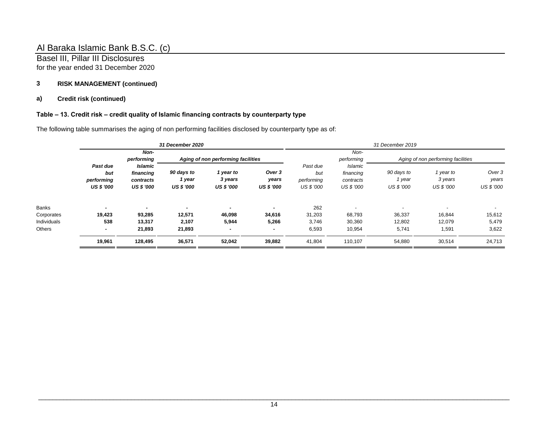Basel III, Pillar III Disclosures for the year ended 31 December 2020

## **3 RISK MANAGEMENT (continued)**

## **a) Credit risk (continued)**

## **Table – 13. Credit risk – credit quality of Islamic financing contracts by counterparty type**

The following table summarises the aging of non performing facilities disclosed by counterparty type as of:

|             | <b>31 December 2020</b>                            |                                                          |                                           |                                           | 31 December 2019                     |                                             |                                                               |                                           |                                    |                                      |
|-------------|----------------------------------------------------|----------------------------------------------------------|-------------------------------------------|-------------------------------------------|--------------------------------------|---------------------------------------------|---------------------------------------------------------------|-------------------------------------------|------------------------------------|--------------------------------------|
|             |                                                    | Non-<br>performing<br>Aging of non performing facilities |                                           |                                           | Non-<br>performing                   | Aging of non performing facilities          |                                                               |                                           |                                    |                                      |
|             | Past due<br>but<br>performing<br><b>US \$ '000</b> | Islamic<br>financing<br>contracts<br><b>US \$ '000</b>   | 90 days to<br>1 year<br><b>US \$ '000</b> | 1 year to<br>3 years<br><b>US \$ '000</b> | Over 3<br>years<br><b>US \$ '000</b> | Past due<br>but<br>performing<br>US \$ '000 | <b>Islamic</b><br>financing<br>contracts<br><b>US \$ '000</b> | 90 days to<br>1 year<br><b>US \$ '000</b> | 1 year to<br>3 years<br>US \$ '000 | Over 3<br>years<br><b>US \$ '000</b> |
| Banks       |                                                    |                                                          |                                           |                                           |                                      | 262                                         |                                                               | $\overline{\phantom{a}}$                  |                                    |                                      |
| Corporates  | 19,423                                             | 93,285                                                   | 12,571                                    | 46,098                                    | 34,616                               | 31,203                                      | 68,793                                                        | 36,337                                    | 16,844                             | 15,612                               |
| Individuals | 538                                                | 13,317                                                   | 2,107                                     | 5,944                                     | 5,266                                | 3,746                                       | 30,360                                                        | 12,802                                    | 12,079                             | 5,479                                |
| Others      | ۰.                                                 | 21,893                                                   | 21,893                                    |                                           |                                      | 6,593                                       | 10,954                                                        | 5,741                                     | 1,591                              | 3,622                                |
|             | 19,961                                             | 128,495                                                  | 36,571                                    | 52,042                                    | 39,882                               | 41,804                                      | 110,107                                                       | 54,880                                    | 30,514                             | 24,713                               |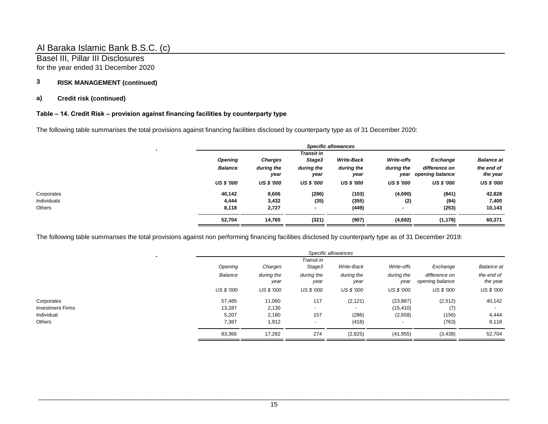Basel III, Pillar III Disclosures for the year ended 31 December 2020

## **3 RISK MANAGEMENT (continued)**

## **a) Credit risk (continued)**

## **Table – 14. Credit Risk – provision against financing facilities by counterparty type**

The following table summarises the total provisions against financing facilities disclosed by counterparty type as of 31 December 2020:

|                   |                    |                      | <b>Specific allowances</b> |                    |                                  |                        |
|-------------------|--------------------|----------------------|----------------------------|--------------------|----------------------------------|------------------------|
| <b>Opening</b>    | <b>Charges</b>     | Transit in<br>Stage3 | <b>Write-Back</b>          | Write-offs         | Exchange                         | <b>Balance at</b>      |
| <b>Balance</b>    | during the<br>year | during the<br>year   | during the<br>year         | during the<br>year | difference on<br>opening balance | the end of<br>the year |
| <b>US \$ '000</b> | <b>US \$ '000</b>  | <b>US \$ '000</b>    | <b>US \$ '000</b>          | <b>US \$ '000</b>  | <b>US \$ '000</b>                | US \$ '000             |
| 40,142            | 8,606              | (286)                | (103)                      | (4,690)            | (841)                            | 42,828                 |
| 4,444             | 3,432              | (35)                 | (355)                      | (2)                | (84)                             | 7,400                  |
| 8,118             | 2,727              | ٠                    | (449)                      | ۰                  | (253)                            | 10,143                 |
| 52,704            | 14,765             | (321)                | (907)                      | (4,692)            | (1, 178)                         | 60,371                 |
|                   |                    |                      |                            |                    |                                  |                        |

The following table summarises the total provisions against non performing financing facilities disclosed by counterparty type as of 31 December 2019:

|                         | Specific allowances |                    |                          |                          |                          |                                  |                          |
|-------------------------|---------------------|--------------------|--------------------------|--------------------------|--------------------------|----------------------------------|--------------------------|
|                         | Transit in          |                    |                          |                          |                          |                                  |                          |
|                         | Opening             | Charges            | Stage3                   | Write-Back               | Write-offs               | Exchange                         | <b>Balance</b> at        |
|                         | Balance             | during the<br>year | during the<br>year       | during the<br>year       | during the<br>year       | difference on<br>opening balance | the end of<br>the year   |
|                         | <b>US \$ '000</b>   | US \$ '000         | US \$ '000               | US \$ '000               | US \$ '000               | <b>US \$ '000</b>                | <b>US \$ '000</b>        |
| Corporates              | 57,485              | 11,060             | 117                      | (2, 121)                 | (23, 887)                | (2,512)                          | 40,142                   |
| <b>Investment Firms</b> | 13,287              | 2,130              | $\overline{\phantom{a}}$ | $\overline{\phantom{0}}$ | (15, 410)                | (7)                              | $\overline{\phantom{a}}$ |
| Individual              | 5,207               | 2,180              | 157                      | (286)                    | (2,658)                  | (156)                            | 4,444                    |
| Others                  | 7,387               | 1,912              | $\overline{\phantom{0}}$ | (418)                    | $\overline{\phantom{0}}$ | (763)                            | 8,118                    |
|                         | 83,366              | 17,282             | 274                      | (2,825)                  | (41, 955)                | (3, 438)                         | 52,704                   |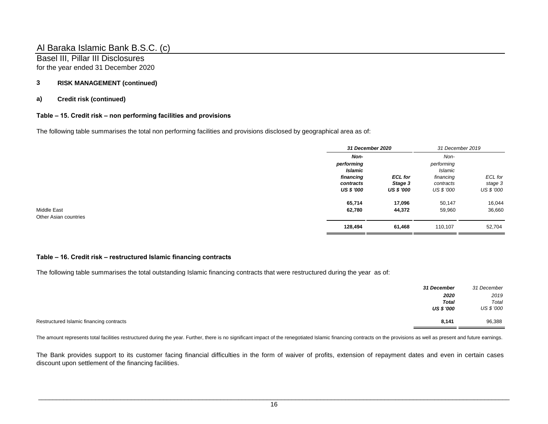Basel III, Pillar III Disclosures for the year ended 31 December 2020

## **3 RISK MANAGEMENT (continued)**

## **a) Credit risk (continued)**

## **Table – 15. Credit risk – non performing facilities and provisions**

The following table summarises the total non performing facilities and provisions disclosed by geographical area as of:

| 31 December 2020        |                       | 31 December 2019             |                       |
|-------------------------|-----------------------|------------------------------|-----------------------|
| Non-                    |                       | Non-                         |                       |
| performing<br>Islamic   |                       | performing<br><b>Islamic</b> |                       |
| financing               | <b>ECL</b> for        | financing                    | ECL for               |
| contracts<br>US \$ '000 | Stage 3<br>US \$ '000 | contracts<br>US \$ '000      | stage 3<br>US \$ '000 |
| 65,714                  | 17,096                | 50,147                       | 16,044                |
| 62,780                  | 44,372                | 59,960                       | 36,660                |
| 128,494                 | 61,468                | 110,107                      | 52,704                |

### **Table – 16. Credit risk – restructured Islamic financing contracts**

The following table summarises the total outstanding Islamic financing contracts that were restructured during the year as of:

|                                          | <b>31 December</b> | 31 December |
|------------------------------------------|--------------------|-------------|
|                                          | 2020               | 2019        |
|                                          | <b>Total</b>       | Total       |
|                                          | US \$ '000         | US \$ '000  |
| Restructured Islamic financing contracts | 8,141              | 96,388      |

The amount represents total facilities restructured during the year. Further, there is no significant impact of the renegotiated Islamic financing contracts on the provisions as well as present and future earnings.

The Bank provides support to its customer facing financial difficulties in the form of waiver of profits, extension of repayment dates and even in certain cases discount upon settlement of the financing facilities.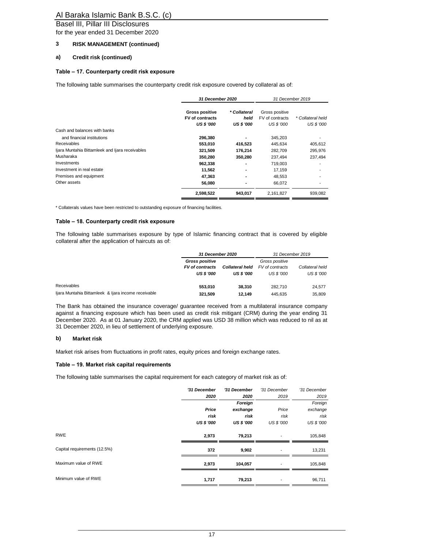### Basel III, Pillar III Disclosures

for the year ended 31 December 2020

#### **3 RISK MANAGEMENT (continued)**

#### **a) Credit risk (continued)**

#### **Table – 17. Counterparty credit risk exposure**

The following table summarises the counterparty credit risk exposure covered by collateral as of:

|                                                 | 31 December 2020       |                   | 31 December 2019 |                   |
|-------------------------------------------------|------------------------|-------------------|------------------|-------------------|
|                                                 | <b>Gross positive</b>  | * Collateral      | Gross positive   |                   |
|                                                 | <b>FV</b> of contracts | held              | FV of contracts  | * Collateral held |
|                                                 | <b>US \$ '000</b>      | <b>US \$ '000</b> | US \$ '000       | US \$ '000        |
| Cash and balances with banks                    |                        |                   |                  |                   |
| and financial institutions                      | 296,380                |                   | 345,203          |                   |
| <b>Receivables</b>                              | 553,010                | 416,523           | 445,634          | 405,612           |
| Ijara Muntahia Bittamleek and Ijara receivables | 321,509                | 176.214           | 282,709          | 295,976           |
| Musharaka                                       | 350,280                | 350,280           | 237,494          | 237,494           |
| Investments                                     | 962,338                |                   | 719.003          |                   |
| Investment in real estate                       | 11,562                 | ۰                 | 17,159           |                   |
| Premises and equipment                          | 47,363                 |                   | 48,553           |                   |
| Other assets                                    | 56,080                 |                   | 66,072           |                   |
|                                                 | 2,598,522              | 943,017           | 2,161,827        | 939,082           |

\* Collaterals values have been restricted to outstanding exposure of financing facilities.

#### **Table – 18. Counterparty credit risk exposure**

The following table summarises exposure by type of Islamic financing contract that is covered by eligible collateral after the application of haircuts as of:

|                                                     | <b>31 December 2020</b>                                              |                                      | 31 December 2019                                |                               |
|-----------------------------------------------------|----------------------------------------------------------------------|--------------------------------------|-------------------------------------------------|-------------------------------|
|                                                     | <b>Gross positive</b><br><b>FV</b> of contracts<br><b>US \$ '000</b> | Collateral held<br><b>US \$ '000</b> | Gross positive<br>FV of contracts<br>US \$ '000 | Collateral held<br>US \$ '000 |
| Receivables                                         | 553.010                                                              | 38.310                               | 282.710                                         | 24,577                        |
| Ijara Muntahia Bittamleek & Ijara income receivable | 321.509                                                              | 12.149                               | 445.635                                         | 35,809                        |

The Bank has obtained the insurance coverage/ guarantee received from a multilateral insurance company against a financing exposure which has been used as credit risk mitigant (CRM) during the year ending 31 December 2020. As at 01 January 2020, the CRM applied was USD 38 million which was reduced to nil as at 31 December 2020, in lieu of settlement of underlying exposure.

#### **b) Market risk**

Market risk arises from fluctuations in profit rates, equity prices and foreign exchange rates.

#### **Table – 19. Market risk capital requirements**

The following table summarises the capital requirement for each category of market risk as of:

|                              | '31 December      | '31 December      | '31 December             | '31 December      |
|------------------------------|-------------------|-------------------|--------------------------|-------------------|
|                              | 2020              | 2020              | 2019                     | 2019              |
|                              |                   | Foreign           |                          | Foreign           |
|                              | Price             | exchange          | Price                    | exchange          |
|                              | risk              | risk              | risk                     | risk              |
|                              | <b>US \$ '000</b> | <b>US \$ '000</b> | US \$ '000               | <b>US \$ '000</b> |
| <b>RWE</b>                   | 2,973             | 79,213            | ٠                        | 105,848           |
| Capital requirements (12.5%) | 372               | 9,902             |                          | 13,231            |
| Maximum value of RWE         | 2,973             | 104,057           |                          | 105,848           |
| Minimum value of RWE         | 1,717             | 79,213            | $\overline{\phantom{a}}$ | 96,711            |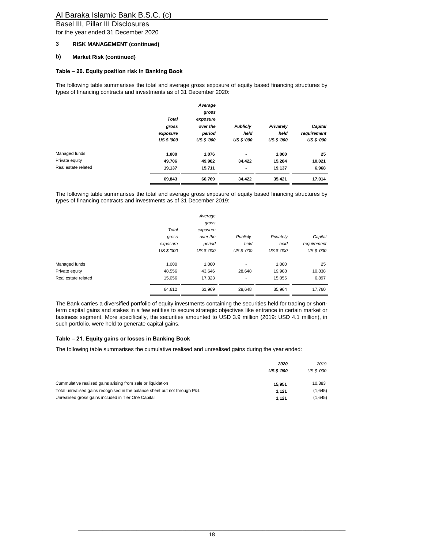## Basel III, Pillar III Disclosures

for the year ended 31 December 2020

#### **3 RISK MANAGEMENT (continued)**

## **b) Market Risk (continued)**

#### **Table – 20. Equity position risk in Banking Book**

The following table summarises the total and average gross exposure of equity based financing structures by types of financing contracts and investments as of 31 December 2020:

|                     |                   | Average           |                   |                   |                   |
|---------------------|-------------------|-------------------|-------------------|-------------------|-------------------|
|                     |                   | gross             |                   |                   |                   |
|                     | <b>Total</b>      | exposure          |                   |                   |                   |
|                     | gross             | over the          | <b>Publiciv</b>   | Privately         | Capital           |
|                     | exposure          | period            | held              | held              | requirement       |
|                     | <b>US \$ '000</b> | <b>US \$ '000</b> | <b>US \$ '000</b> | <b>US \$ '000</b> | <b>US \$ '000</b> |
| Managed funds       | 1,000             | 1,076             | $\blacksquare$    | 1,000             | 25                |
| Private equity      | 49,706            | 49,982            | 34,422            | 15,284            | 10,021            |
| Real estate related | 19,137            | 15,711            | ٠                 | 19,137            | 6,968             |
|                     | 69,843            | 66,769            | 34,422            | 35,421            | 17,014            |

The following table summarises the total and average gross exposure of equity based financing structures by types of financing contracts and investments as of 31 December 2019:

|                     |                   | Average<br>gross |                          |                   |                   |
|---------------------|-------------------|------------------|--------------------------|-------------------|-------------------|
|                     | Total             | exposure         |                          |                   |                   |
|                     | gross             | over the         | Publicly                 | Privately         | Capital           |
|                     | exposure          | period           | held                     | held              | requirement       |
|                     | <b>US \$ '000</b> | US \$ '000       | <b>US \$ '000</b>        | <b>US \$ '000</b> | <b>US \$ '000</b> |
| Managed funds       | 1,000             | 1,000            |                          | 1,000             | 25                |
| Private equity      | 48,556            | 43,646           | 28,648                   | 19,908            | 10,838            |
| Real estate related | 15,056            | 17,323           | $\overline{\phantom{a}}$ | 15,056            | 6,897             |
|                     | 64,612            | 61,969           | 28,648                   | 35,964            | 17,760            |

The Bank carries a diversified portfolio of equity investments containing the securities held for trading or shortterm capital gains and stakes in a few entities to secure strategic objectives like entrance in certain market or business segment. More specifically, the securities amounted to USD 3.9 million (2019: USD 4.1 million), in such portfolio, were held to generate capital gains.

#### **Table – 21. Equity gains or losses in Banking Book**

The following table summarises the cumulative realised and unrealised gains during the year ended:

|                                                                            | 2020              | 2019       |
|----------------------------------------------------------------------------|-------------------|------------|
|                                                                            | <b>US \$ '000</b> | US \$ '000 |
| Cummulative realised gains arising from sale or liquidation                | 15.951            | 10.383     |
| Total unrealised gains recognised in the balance sheet but not through P&L | 1.121             | (1,645)    |
| Unrealised gross gains included in Tier One Capital                        | 1.121             | (1,645)    |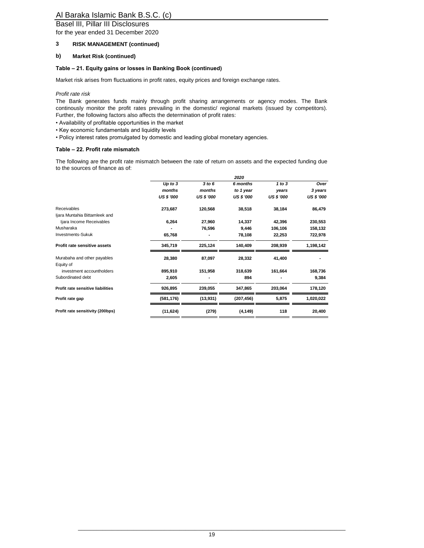## Basel III, Pillar III Disclosures

for the year ended 31 December 2020

#### **3 RISK MANAGEMENT (continued)**

#### **b) Market Risk (continued)**

## **Table – 21. Equity gains or losses in Banking Book (continued)**

Market risk arises from fluctuations in profit rates, equity prices and foreign exchange rates.

*Profit rate risk*

The Bank generates funds mainly through profit sharing arrangements or agency modes. The Bank continously monitor the profit rates prevailing in the domestic/ regional markets (issued by competitors). Further, the following factors also affects the determination of profit rates:

- Availability of profitable opportunities in the market
- Key economic fundamentals and liquidity levels
- Policy interest rates promulgated by domestic and leading global monetary agencies.

#### **Table – 22. Profit rate mismatch**

The following are the profit rate mismatch between the rate of return on assets and the expected funding due to the sources of finance as of:

|                                   |                   |                   | 2020              |                   |                   |
|-----------------------------------|-------------------|-------------------|-------------------|-------------------|-------------------|
|                                   | Up to 3           | 3 to 6            | 6 months          | 1 to 3            | Over              |
|                                   | months            | months            | to 1 year         | years             | 3 years           |
|                                   | <b>US \$ '000</b> | <b>US \$ '000</b> | <b>US \$ '000</b> | <b>US \$ '000</b> | <b>US \$ '000</b> |
| Receivables                       | 273,687           | 120,568           | 38,518            | 38,184            | 86,479            |
| Ijara Muntahia Bittamleek and     |                   |                   |                   |                   |                   |
| Ijara Income Receivables          | 6,264             | 27,960            | 14,337            | 42,396            | 230,553           |
| Musharaka                         |                   | 76,596            | 9,446             | 106,106           | 158,132           |
| <b>Investments-Sukuk</b>          | 65,768            |                   | 78,108            | 22,253            | 722,978           |
| Profit rate sensitive assets      | 345,719           | 225,124           | 140,409           | 208,939           | 1,198,142         |
| Murabaha and other payables       | 28,380            | 87,097            | 28,332            | 41,400            |                   |
| Equity of                         |                   |                   |                   |                   |                   |
| investment accountholders         | 895,910           | 151,958           | 318,639           | 161,664           | 168,736           |
| Subordinated debt                 | 2,605             |                   | 894               |                   | 9,384             |
| Profit rate sensitive liabilities | 926,895           | 239,055           | 347,865           | 203,064           | 178,120           |
| Profit rate gap                   | (581, 176)        | (13,931)          | (207, 456)        | 5,875             | 1,020,022         |
| Profit rate sensitivity (200bps)  | (11, 624)         | (279)             | (4, 149)          | 118               | 20,400            |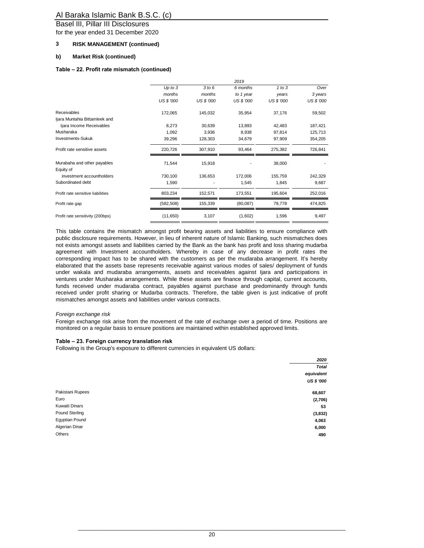Basel III, Pillar III Disclosures

for the year ended 31 December 2020

#### **3 RISK MANAGEMENT (continued)**

#### **b) Market Risk (continued)**

#### **Table – 22. Profit rate mismatch (continued)**

|                                   | 2019        |            |            |            |            |
|-----------------------------------|-------------|------------|------------|------------|------------|
|                                   | $Up$ to $3$ | 3 to 6     | 6 months   | 1 to 3     | Over       |
|                                   | months      | months     | to 1 year  | years      | 3 years    |
|                                   | US \$ '000  | US \$ '000 | US \$ '000 | US \$ '000 | US \$ '000 |
| <b>Receivables</b>                | 172,065     | 145,032    | 35,954     | 37,176     | 59,502     |
| Ijara Muntahia Bittamleek and     |             |            |            |            |            |
| Ijara Income Receivables          | 8,273       | 30,639     | 13,893     | 42,483     | 187,421    |
| Musharaka                         | 1,092       | 3,936      | 8,938      | 97,814     | 125,713    |
| <b>Investments-Sukuk</b>          | 39,296      | 128,303    | 34,679     | 97,909     | 354,205    |
| Profit rate sensitive assets      | 220,726     | 307,910    | 93,464     | 275,382    | 726,841    |
| Murabaha and other payables       | 71,544      | 15,918     |            | 38,000     |            |
| Equity of                         |             |            |            |            |            |
| investment accountholders         | 730,100     | 136,653    | 172,006    | 155,759    | 242,329    |
| Subordinated debt                 | 1,590       |            | 1,545      | 1,845      | 9,687      |
| Profit rate sensitive liabilities | 803,234     | 152,571    | 173,551    | 195,604    | 252,016    |
| Profit rate gap                   | (582, 508)  | 155,339    | (80,087)   | 79,778     | 474,825    |
| Profit rate sensitivity (200bps)  | (11,650)    | 3,107      | (1,602)    | 1,596      | 9,497      |

This table contains the mismatch amongst profit bearing assets and liabilities to ensure compliance with public disclosure requirements. However, in lieu of inherent nature of Islamic Banking, such mismatches does not exists amongst assets and liabilities carried by the Bank as the bank has profit and loss sharing mudarba agreement with Investment accountholders. Whereby in case of any decrease in profit rates the corresponding impact has to be shared with the customers as per the mudaraba arrangement. It's hereby elaborated that the assets base represents receivable against various modes of sales/ deployment of funds under wakala and mudaraba arrangements, assets and receivables against Ijara and participations in ventures under Musharaka arrangements. While these assets are finance through capital, current accounts, funds received under mudaraba contract, payables against purchase and predominantly through funds received under profit sharing or Mudarba contracts. Therefore, the table given is just indicative of profit mismatches amongst assets and liabilities under various contracts.

#### *Foreign exchange risk*

Foreign exchange risk arise from the movement of the rate of exchange over a period of time. Positions are monitored on a regular basis to ensure positions are maintained within established approved limits.

#### **Table – 23. Foreign currency translation risk**

Following is the Group's exposure to different currencies in equivalent US dollars:

| 2020              |
|-------------------|
| <b>Total</b>      |
| equivalent        |
| <b>US \$ '000</b> |
| 68,607            |
| (2,706)           |
| 53                |
| (3,832)           |
| 4,063             |
| 6,000             |
| 490               |
|                   |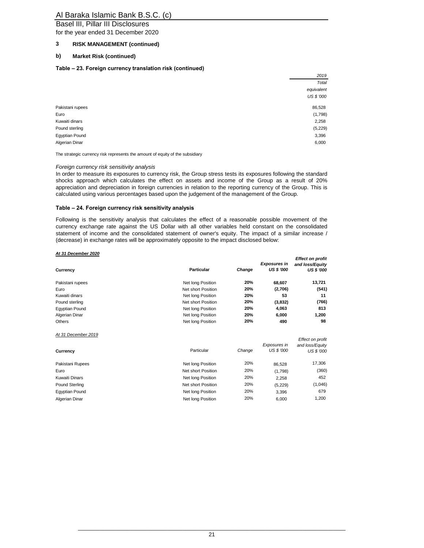Basel III, Pillar III Disclosures

for the year ended 31 December 2020

### **3 RISK MANAGEMENT (continued)**

#### **b) Market Risk (continued)**

#### **Table – 23. Foreign currency translation risk (continued)**

|                  | 2019              |
|------------------|-------------------|
|                  | Total             |
|                  | equivalent        |
|                  | <b>US \$ '000</b> |
| Pakistani rupees | 86,528            |
| Euro             | (1,798)           |
| Kuwaiti dinars   | 2,258             |
| Pound sterling   | (5, 229)          |
| Egyptian Pound   | 3,396             |
| Algerian Dinar   | 6,000             |
|                  |                   |

*2019*

*Effect on profit* 

The strategic currency risk represents the amount of equity of the subsidiary

#### *Foreign currency risk sensitivity analysis*

In order to measure its exposures to currency risk, the Group stress tests its exposures following the standard shocks approach which calculates the effect on assets and income of the Group as a result of 20% appreciation and depreciation in foreign currencies in relation to the reporting currency of the Group. This is calculated using various percentages based upon the judgement of the management of the Group.

#### **Table – 24. Foreign currency risk sensitivity analysis**

Following is the sensitivity analysis that calculates the effect of a reasonable possible movement of the currency exchange rate against the US Dollar with all other variables held constant on the consolidated statement of income and the consolidated statement of owner's equity. The impact of a similar increase / (decrease) in exchange rates will be approximately opposite to the impact disclosed below:

#### *At 31 December 2020*

| Currency              | <b>Particular</b>  | Change | <b>Exposures in</b><br><b>US \$ '000</b> | Litou vii pront<br>and loss/Equity<br><b>US \$ '000</b> |
|-----------------------|--------------------|--------|------------------------------------------|---------------------------------------------------------|
| Pakistani rupees      | Net long Position  | 20%    | 68,607                                   | 13,721                                                  |
| Euro                  | Net short Position | 20%    | (2,706)                                  | (541)                                                   |
| Kuwaiti dinars        | Net long Position  | 20%    | 53                                       | 11                                                      |
| Pound sterling        | Net short Position | 20%    | (3,832)                                  | (766)                                                   |
| Egyptian Pound        | Net long Position  | 20%    | 4,063                                    | 813                                                     |
| Algerian Dinar        | Net long Position  | 20%    | 6,000                                    | 1,200                                                   |
| Others                | Net long Position  | 20%    | 490                                      | 98                                                      |
| At 31 December 2019   |                    |        |                                          | Effect on profit                                        |
| Currency              | Particular         | Change | Exposures in<br>US \$ '000               | and loss/Equity<br>US \$ '000                           |
| Pakistani Rupees      | Net long Position  | 20%    | 86,528                                   | 17,306                                                  |
| Euro                  | Net short Position | 20%    | (1,798)                                  | (360)                                                   |
| <b>Kuwaiti Dinars</b> | Net long Position  | 20%    | 2,258                                    | 452                                                     |
| <b>Pound Sterling</b> | Net short Position | 20%    | (5,229)                                  | (1,046)                                                 |
| Egyptian Pound        | Net long Position  | 20%    | 3,396                                    | 679                                                     |
| Algerian Dinar        | Net long Position  | 20%    | 6,000                                    | 1,200                                                   |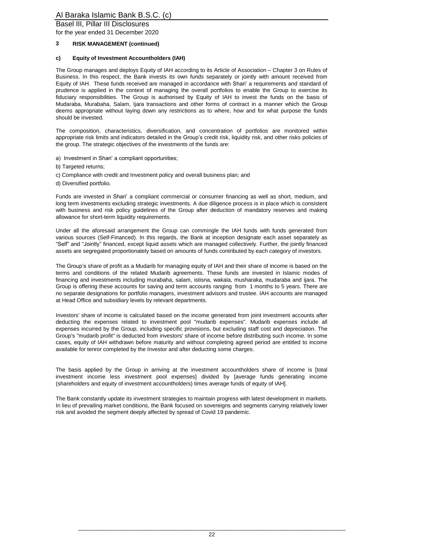Basel III, Pillar III Disclosures

for the year ended 31 December 2020

#### **3 RISK MANAGEMENT (continued)**

#### **c) Equity of Investment Accountholders (IAH)**

The Group manages and deploys Equity of IAH according to its Article of Association – Chapter 3 on Rules of Business. In this respect, the Bank invests its own funds separately or jointly with amount received from Equity of IAH. These funds received are managed in accordance with Shari' a requirements and standard of prudence is applied in the context of managing the overall portfolios to enable the Group to exercise its fiduciary responsibilities. The Group is authorised by Equity of IAH to invest the funds on the basis of Mudaraba, Murabaha, Salam, Ijara transactions and other forms of contract in a manner which the Group deems appropriate without laying down any restrictions as to where, how and for what purpose the funds should be invested.

The composition, characteristics, diversification, and concentration of portfolios are monitored within appropriate risk limits and indicators detailed in the Group's credit risk, liquidity risk, and other risks policies of the group. The strategic objectives of the investments of the funds are:

- a) Investment in Shari' a compliant opportunities;
- b) Targeted returns;
- c) Compliance with credit and Investment policy and overall business plan; and
- d) Diversified portfolio.

Funds are invested in Shari' a compliant commercial or consumer financing as well as short, medium, and long term investments excluding strategic investments. A due diligence process is in place which is consistent with business and risk policy guidelines of the Group after deduction of mandatory reserves and making allowance for short-term liquidity requirements.

Under all the aforesaid arrangement the Group can commingle the IAH funds with funds generated from various sources (Self-Financed). In this regards, the Bank at inception designate each asset separately as "Self" and "Jointly" financed, except liquid assets which are managed collectively. Further, the jointly financed assets are segregated proportionately based on amounts of funds contributed by each category of investors.

The Group's share of profit as a Mudarib for managing equity of IAH and their share of income is based on the terms and conditions of the related Mudarib agreements. These funds are invested in Islamic modes of financing and investments including murabaha, salam, istisna, wakala, musharaka, mudaraba and ijara. The Group is offering these accounts for saving and term accounts ranging from 1 months to 5 years. There are no separate designations for portfolio managers, investment advisors and trustee. IAH accounts are managed at Head Office and subsidiary levels by relevant departments.

Investors' share of income is calculated based on the income generated from joint investment accounts after deducting the expenses related to investment pool "mudarib expenses". Mudarib expenses include all expenses incurred by the Group, including specific provisions, but excluding staff cost and depreciation. The Group's "mudarib profit" is deducted from investors' share of income before distributing such income. In some cases, equity of IAH withdrawn before maturity and without completing agreed period are entitled to income available for tenror completed by the Investor and after deducting some charges.

The basis applied by the Group in arriving at the investment accountholders share of income is [total investment income less investment pool expenses] divided by [average funds generating income (shareholders and equity of investment accountholders) times average funds of equity of IAH].

The Bank constantly update its investment strategies to maintain progress with latest development in markets. In lieu of prevailing market conditions, the Bank focused on sovereigns and segments carrying relatively lower risk and avoided the segment deeply affected by spread of Covid 19 pandemic.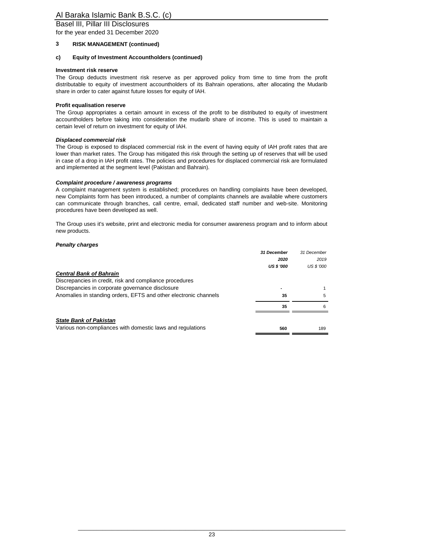Basel III, Pillar III Disclosures

for the year ended 31 December 2020

#### **3 RISK MANAGEMENT (continued)**

#### **c) Equity of Investment Accountholders (continued)**

#### **Investment risk reserve**

The Group deducts investment risk reserve as per approved policy from time to time from the profit distributable to equity of investment accountholders of its Bahrain operations, after allocating the Mudarib share in order to cater against future losses for equity of IAH.

#### **Profit equalisation reserve**

The Group appropriates a certain amount in excess of the profit to be distributed to equity of investment accountholders before taking into consideration the mudarib share of income. This is used to maintain a certain level of return on investment for equity of IAH.

#### *Displaced commercial risk*

The Group is exposed to displaced commercial risk in the event of having equity of IAH profit rates that are lower than market rates. The Group has mitigated this risk through the setting up of reserves that will be used in case of a drop in IAH profit rates. The policies and procedures for displaced commercial risk are formulated and implemented at the segment level (Pakistan and Bahrain).

#### *Complaint procedure / awareness programs*

A complaint management system is established; procedures on handling complaints have been developed, new Complaints form has been introduced, a number of complaints channels are available where customers can communicate through branches, call centre, email, dedicated staff number and web-site. Monitoring procedures have been developed as well.

The Group uses it's website, print and electronic media for consumer awareness program and to inform about new products.

#### *Penalty charges*

|                                                                  | 31 December       | 31 December |
|------------------------------------------------------------------|-------------------|-------------|
|                                                                  | 2020              | 2019        |
|                                                                  | <b>US \$ '000</b> | US \$ '000  |
| <b>Central Bank of Bahrain</b>                                   |                   |             |
| Discrepancies in credit, risk and compliance procedures          |                   |             |
| Discrepancies in corporate governance disclosure                 |                   |             |
| Anomalies in standing orders, EFTS and other electronic channels | 35                | 5           |
|                                                                  | 35                | 6           |
| <b>State Bank of Pakistan</b>                                    |                   |             |
| Various non-compliances with domestic laws and regulations       | 560               | 189         |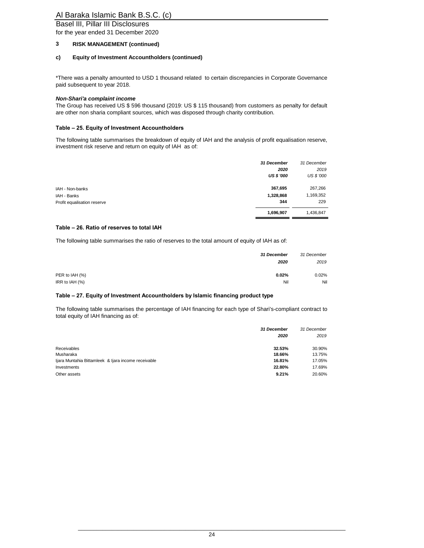Basel III, Pillar III Disclosures

for the year ended 31 December 2020

### **3 RISK MANAGEMENT (continued)**

#### **c) Equity of Investment Accountholders (continued)**

\*There was a penalty amounted to USD 1 thousand related to certain discrepancies in Corporate Governance paid subsequent to year 2018.

#### *Non-Shari'a complaint income*

The Group has received US \$ 596 thousand (2019: US \$ 115 thousand) from customers as penalty for default are other non sharia compliant sources, which was disposed through charity contribution.

#### **Table – 25. Equity of Investment Accountholders**

The following table summarises the breakdown of equity of IAH and the analysis of profit equalisation reserve, investment risk reserve and return on equity of IAH as of:

|                             | 31 December       | 31 December       |
|-----------------------------|-------------------|-------------------|
|                             | 2020              | 2019              |
|                             | <b>US \$ '000</b> | <b>US \$ '000</b> |
| IAH - Non-banks             | 367,695           | 267,266           |
| IAH - Banks                 | 1,328,868         | 1,169,352         |
| Profit equalisation reserve | 344               | 229               |
|                             | 1,696,907         | 1,436,847         |

#### **Table – 26. Ratio of reserves to total IAH**

The following table summarises the ratio of reserves to the total amount of equity of IAH as of:

|                | <b>31 December</b> | 31 December |
|----------------|--------------------|-------------|
|                | 2020               | 2019        |
|                |                    |             |
| PER to IAH (%) | 0.02%              | 0.02%       |
| IRR to IAH (%) | Nil                | Nil         |

#### **Table – 27. Equity of Investment Accountholders by Islamic financing product type**

The following table summarises the percentage of IAH financing for each type of Shari's-compliant contract to total equity of IAH financing as of:

|                                                     | 31 December<br>2020 | 31 December<br>2019 |
|-----------------------------------------------------|---------------------|---------------------|
| Receivables                                         | 32.53%              | 30.90%              |
| Musharaka                                           | 18.66%              | 13.75%              |
| Ijara Muntahia Bittamleek & Ijara income receivable | 16.81%              | 17.05%              |
| Investments                                         | 22.80%              | 17.69%              |
| Other assets                                        | 9.21%               | 20.60%              |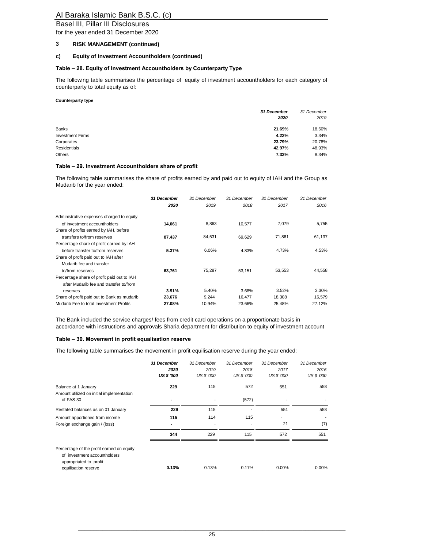## Basel III, Pillar III Disclosures

for the year ended 31 December 2020

#### **3 RISK MANAGEMENT (continued)**

#### **c) Equity of Investment Accountholders (continued)**

#### **Table – 28. Equity of Investment Accountholders by Counterparty Type**

The following table summarises the percentage of equity of investment accountholders for each category of counterparty to total equity as of:

#### **Counterparty type**

|                         | 31 December<br>2020 | 31 December<br>2019 |
|-------------------------|---------------------|---------------------|
| <b>Banks</b>            | 21.69%              | 18.60%              |
| <b>Investment Firms</b> | 4.22%               | 3.34%               |
| Corporates              | 23.79%              | 20.78%              |
| <b>Residentials</b>     | 42.97%              | 48.93%              |
| <b>Others</b>           | 7.33%               | 8.34%               |

#### **Table – 29. Investment Accountholders share of profit**

The following table summarises the share of profits earned by and paid out to equity of IAH and the Group as Mudarib for the year ended:

|                                             | <b>31 December</b> | 31 December | 31 December | 31 December | 31 December |
|---------------------------------------------|--------------------|-------------|-------------|-------------|-------------|
|                                             | 2020               | 2019        | 2018        | 2017        | 2016        |
| Administrative expenses charged to equity   |                    |             |             |             |             |
| of investment accountholders                | 14,061             | 8,863       | 10,577      | 7,079       | 5,755       |
| Share of profits earned by IAH, before      |                    |             |             |             |             |
| transfers to/from reserves                  | 87,437             | 84,531      | 69,629      | 71.861      | 61,137      |
| Percentage share of profit earned by IAH    |                    |             |             |             |             |
| before transfer to/from reserves            | 5.37%              | 6.06%       | 4.83%       | 4.73%       | 4.53%       |
| Share of profit paid out to IAH after       |                    |             |             |             |             |
| Mudarib fee and transfer                    |                    |             |             |             |             |
| to/from reserves                            | 63,761             | 75.287      | 53,151      | 53.553      | 44.558      |
| Percentage share of profit paid out to IAH  |                    |             |             |             |             |
| after Mudarib fee and transfer to/from      |                    |             |             |             |             |
| reserves                                    | 3.91%              | 5.40%       | 3.68%       | 3.52%       | 3.30%       |
| Share of profit paid out to Bank as mudarib | 23,676             | 9,244       | 16.477      | 18,308      | 16,579      |
| Mudarib Fee to total Investment Profits     | 27.08%             | 10.94%      | 23.66%      | 25.48%      | 27.12%      |

The Bank included the service charges/ fees from credit card operations on a proportionate basis in accordance with instructions and approvals Sharia department for distribution to equity of investment account

#### **Table – 30. Movement in profit equalisation reserve**

The following table summarises the movement in profit equilisation reserve during the year ended:

|                                                                                                                             | 31 December<br>2020<br><b>US \$ '000</b> | 31 December<br>2019<br>US \$ '000 | 31 December<br>2018<br>US \$ '000 | 31 December<br>2017<br>US \$ '000 | 31 December<br>2016<br>US \$ '000 |
|-----------------------------------------------------------------------------------------------------------------------------|------------------------------------------|-----------------------------------|-----------------------------------|-----------------------------------|-----------------------------------|
| Balance at 1 January<br>Amount utilized on initial implementation                                                           | 229                                      | 115                               | 572                               | 551                               | 558                               |
| of FAS 30                                                                                                                   |                                          |                                   | (572)                             | ۰                                 |                                   |
| Restated balances as on 01 January                                                                                          | 229                                      | 115                               |                                   | 551                               | 558                               |
| Amount apportioned from income                                                                                              | 115                                      | 114                               | 115                               | ۰                                 |                                   |
| Foreign exchange gain / (loss)                                                                                              |                                          |                                   |                                   | 21                                | (7)                               |
|                                                                                                                             | 344                                      | 229                               | 115                               | 572                               | 551                               |
| Percentage of the profit earned on equity<br>of investment accountholders<br>appropriated to profit<br>equilisation reserve | 0.13%                                    | 0.13%                             | 0.17%                             | $0.00\%$                          | 0.00%                             |
|                                                                                                                             |                                          |                                   |                                   |                                   |                                   |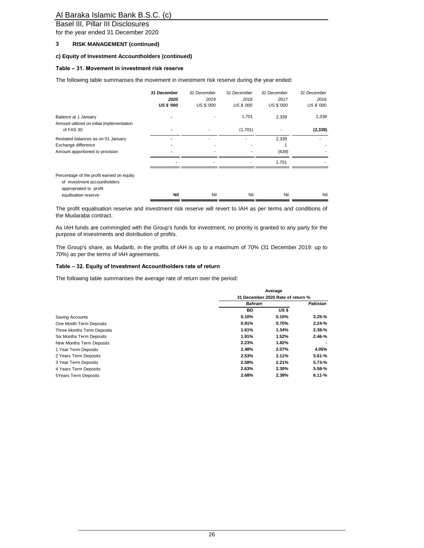Basel III, Pillar III Disclosures

for the year ended 31 December 2020

#### **3 RISK MANAGEMENT (continued)**

#### **c) Equity of Investment Accountholders (continued)**

#### **Table – 31. Movement in investment risk reserve**

The following table summarises the movement in investment risk reserve during the year ended:

|                                                                                                                             | 31 December<br>2020<br><b>US \$ '000</b> | 31 December<br>2019<br>US \$ '000 | 31 December<br>2018<br><b>US \$ '000</b> | 31 December<br>2017<br><b>US \$ '000</b> | 31 December<br>2016<br>US \$ '000 |
|-----------------------------------------------------------------------------------------------------------------------------|------------------------------------------|-----------------------------------|------------------------------------------|------------------------------------------|-----------------------------------|
| Balance at 1 January<br>Amount utilized on initial implementation                                                           |                                          |                                   | 1,701                                    | 2,339                                    | 2,339                             |
| of FAS 30                                                                                                                   |                                          |                                   | (1,701)                                  |                                          | (2, 339)                          |
| Restated balances as on 01 January<br>Exchange difference<br>Amount apportioned to provision                                |                                          |                                   |                                          | 2,339<br>(639)                           |                                   |
|                                                                                                                             | $\blacksquare$                           | ۰                                 | ٠                                        | 1,701                                    |                                   |
| Percentage of the profit earned on equity<br>of investment accountholders<br>appropriated to profit<br>equilisation reserve | Nil                                      | Nil                               | Nil                                      | Nil                                      | Nil                               |

The profit equalisation reserve and investment risk reserve will revert to IAH as per terms and conditions of the Mudaraba contract.

As IAH funds are commingled with the Group's funds for investment, no priority is granted to any party for the purpose of investments and distribution of profits.

The Group's share, as Mudarib, in the profits of IAH is up to a maximum of 70% (31 December 2019: up to 70%) as per the terms of IAH agreements.

#### **Table – 32. Equity of Investment Accountholders rate of return**

The following table summarises the average rate of return over the period:

|                             | Average<br>31 December 2020 Rate of return % |       |            |
|-----------------------------|----------------------------------------------|-------|------------|
|                             |                                              |       |            |
|                             | <b>Bahrain</b>                               |       | Pakistan   |
|                             | BD                                           | US \$ |            |
| Saving Accounts             | 0.10%                                        | 0.10% | $3.25 - %$ |
| One Month Term Deposits     | 0.91%                                        | 0.70% | $2.24 - %$ |
| Three Months Term Deposits  | 1.61%                                        | 1.34% | $2.38 - %$ |
| Six Months Term Deposits    | 1.91%                                        | 1.52% | $2.46 - %$ |
| Nine Months Term Deposits   | 2.23%                                        | 1.82% |            |
| 1 Year Term Deposits        | 2.48%                                        | 2.07% | 4.05%      |
| 2 Years Term Deposits       | 2.53%                                        | 2.11% | $5.61 - %$ |
| 3 Year Term Deposits        | 2.58%                                        | 2.21% | $5.73 - %$ |
| 4 Years Term Deposits       | 2.63%                                        | 2.30% | $5.58 - %$ |
| <b>5Years Term Deposits</b> | 2.68%                                        | 2.39% | $6.11 - %$ |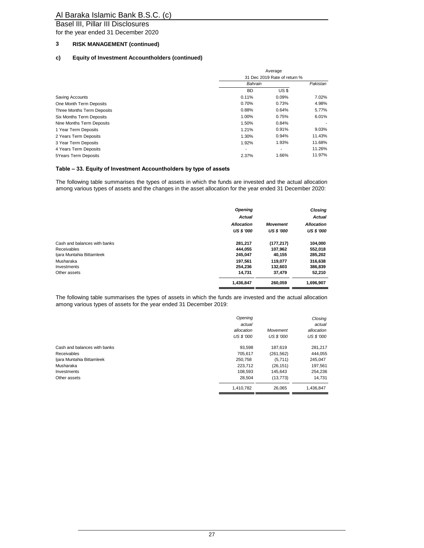Basel III, Pillar III Disclosures

for the year ended 31 December 2020

## **3 RISK MANAGEMENT (continued)**

#### **c) Equity of Investment Accountholders (continued)**

| Average<br>31 Dec 2019 Rate of return % |       |        |
|-----------------------------------------|-------|--------|
|                                         |       |        |
| <b>BD</b>                               | US \$ |        |
| 0.11%                                   | 0.09% | 7.02%  |
| 0.70%                                   | 0.73% | 4.98%  |
| 0.88%                                   | 0.64% | 5.77%  |
| 1.00%                                   | 0.75% | 6.01%  |
| 1.50%                                   | 0.84% |        |
| 1.21%                                   | 0.91% | 9.03%  |
| 1.30%                                   | 0.94% | 11.43% |
| 1.92%                                   | 1.93% | 11.68% |
| ۰                                       | ۰.    | 11.26% |
| 2.37%                                   | 1.66% | 11.97% |
|                                         |       |        |

#### **Table – 33. Equity of Investment Accountholders by type of assets**

The following table summarises the types of assets in which the funds are invested and the actual allocation among various types of assets and the changes in the asset allocation for the year ended 31 December 2020:

|                              | Opening<br>Actual |                   | <b>Closing</b><br><b>Actual</b> |
|------------------------------|-------------------|-------------------|---------------------------------|
|                              | <b>Allocation</b> | <b>Movement</b>   | <b>Allocation</b>               |
|                              | <b>US \$ '000</b> | <b>US \$ '000</b> | <b>US \$ '000</b>               |
| Cash and balances with banks | 281,217           | (177, 217)        | 104,000                         |
| <b>Receivables</b>           | 444.055           | 107,962           | 552,018                         |
| Ijara Muntahia Bittamleek    | 245,047           | 40,155            | 285,202                         |
| Musharaka                    | 197.561           | 119,077           | 316,638                         |
| Investments                  | 254.236           | 132,603           | 386,839                         |
| Other assets                 | 14,731            | 37,479            | 52,210                          |
|                              | 1,436,847         | 260.059           | 1,696,907                       |

The following table summarises the types of assets in which the funds are invested and the actual allocation among various types of assets for the year ended 31 December 2019:

|                              | Opening           |                   | Closing    |
|------------------------------|-------------------|-------------------|------------|
|                              | actual            |                   | actual     |
|                              | allocation        | Movement          | allocation |
|                              | <b>US \$ '000</b> | <b>US \$ '000</b> | US \$ '000 |
| Cash and balances with banks | 93.598            | 187,619           | 281,217    |
| <b>Receivables</b>           | 705.617           | (261, 562)        | 444,055    |
| Ijara Muntahia Bittamleek    | 250,758           | (5,711)           | 245,047    |
| Musharaka                    | 223.712           | (26, 151)         | 197,561    |
| Investments                  | 108.593           | 145.643           | 254.236    |
| Other assets                 | 28,504            | (13, 773)         | 14,731     |
|                              | 1,410,782         | 26.065            | 1,436,847  |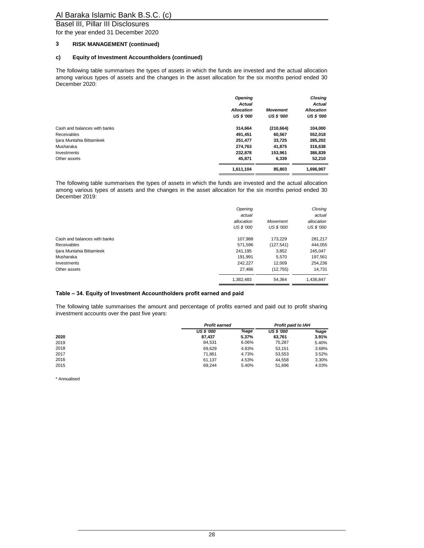Basel III, Pillar III Disclosures

for the year ended 31 December 2020

#### **3 RISK MANAGEMENT (continued)**

#### **c) Equity of Investment Accountholders (continued)**

The following table summarises the types of assets in which the funds are invested and the actual allocation among various types of assets and the changes in the asset allocation for the six months period ended 30 December 2020:

|                              | Opening<br><b>Actual</b> |                   | <b>Closing</b><br><b>Actual</b> |
|------------------------------|--------------------------|-------------------|---------------------------------|
|                              | <b>Allocation</b>        | <b>Movement</b>   | <b>Allocation</b>               |
|                              | <b>US \$ '000</b>        | <b>US \$ '000</b> | <b>US \$ '000</b>               |
| Cash and balances with banks | 314.664                  | (210, 664)        | 104,000                         |
| <b>Receivables</b>           | 491,451                  | 60,567            | 552,018                         |
| Ijara Muntahia Bittamleek    | 251,477                  | 33,725            | 285,202                         |
| Musharaka                    | 274.763                  | 41,875            | 316,638                         |
| Investments                  | 232,878                  | 153,961           | 386,839                         |
| Other assets                 | 45.871                   | 6.339             | 52,210                          |
|                              | 1,611,104                | 85.803            | 1.696.907                       |

The following table summarises the types of assets in which the funds are invested and the actual allocation among various types of assets and the changes in the asset allocation for the six months period ended 30 December 2019:

|                              | Opening<br>actual               |                               | Closing<br>actual        |
|------------------------------|---------------------------------|-------------------------------|--------------------------|
|                              | allocation<br><b>US \$ '000</b> | Movement<br><b>US \$ '000</b> | allocation<br>US \$ '000 |
| Cash and balances with banks | 107.988                         | 173.229                       | 281,217                  |
| <b>Receivables</b>           | 571.596                         | (127.541)                     | 444.055                  |
| Ijara Muntahia Bittamleek    | 241,195                         | 3,852                         | 245,047                  |
| Musharaka                    | 191.991                         | 5.570                         | 197,561                  |
| Investments                  | 242.227                         | 12.009                        | 254.236                  |
| Other assets                 | 27,486                          | (12, 755)                     | 14.731                   |
|                              | 1.382.483                       | 54.364                        | 1.436.847                |

#### **Table – 34. Equity of Investment Accountholders profit earned and paid**

The following table summarises the amount and percentage of profits earned and paid out to profit sharing investment accounts over the past five years:

|      |                   | <b>Profit earned</b> |                   | <b>Profit paid to IAH</b> |
|------|-------------------|----------------------|-------------------|---------------------------|
|      | <b>US \$ '000</b> | %age                 | <b>US \$ '000</b> | %age                      |
| 2020 | 87.437            | 5.37%                | 63.761            | 3.91%                     |
| 2019 | 84.531            | 6.06%                | 75.287            | 5.40%                     |
| 2018 | 69.629            | 4.83%                | 53.151            | 3.68%                     |
| 2017 | 71.861            | 4.73%                | 53.553            | 3.52%                     |
| 2016 | 61.137            | 4.53%                | 44.558            | 3.30%                     |
| 2015 | 69.244            | 5.40%                | 51.696            | 4.03%                     |

\* Annualised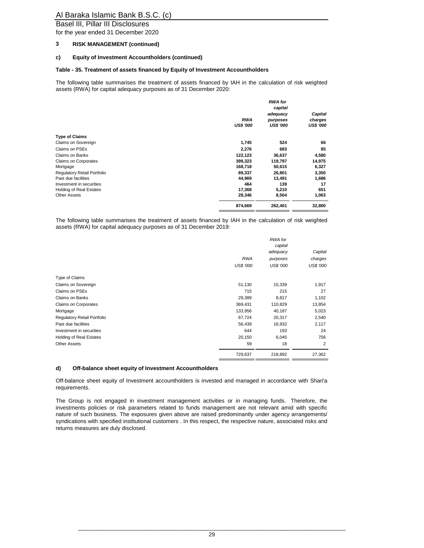Basel III, Pillar III Disclosures

for the year ended 31 December 2020

#### **3 RISK MANAGEMENT (continued)**

#### **c) Equity of Investment Accountholders (continued)**

#### **Table - 35. Treatment of assets financed by Equity of Investment Accountholders**

The following table summarises the treatment of assets financed by IAH in the calculation of risk weighted assets (RWA) for capital adequacy purposes as of 31 December 2020:

|                                |                  | <b>RWA</b> for<br>capital |                  |
|--------------------------------|------------------|---------------------------|------------------|
|                                |                  | adequacy                  | Capital          |
|                                | <b>RWA</b>       | purposes                  | charges          |
|                                | <b>US\$ '000</b> | <b>US\$ '000</b>          | <b>US\$ '000</b> |
| <b>Type of Claims</b>          |                  |                           |                  |
| Claims on Sovereign            | 1,745            | 524                       | 66               |
| Claims on PSEs                 | 2,276            | 683                       | 85               |
| <b>Claims on Banks</b>         | 122,123          | 36,637                    | 4,580            |
| Claims on Corporates           | 399,323          | 119,797                   | 14,975           |
| Mortgage                       | 168,718          | 50,615                    | 6,327            |
| Regulatory Retail Portfolio    | 89,337           | 26,801                    | 3,350            |
| Past due facilities            | 44,969           | 13,491                    | 1,686            |
| Investment in securities       | 464              | 139                       | 17               |
| <b>Holding of Real Estates</b> | 17,368           | 5,210                     | 651              |
| <b>Other Assets</b>            | 28,346           | 8,504                     | 1,063            |
|                                | 874,669          | 262,401                   | 32,800           |

The following table summarises the treatment of assets financed by IAH in the calculation of risk weighted assets (RWA) for capital adequacy purposes as of 31 December 2019:

|                                    |                  | RWA for<br>capital |                  |
|------------------------------------|------------------|--------------------|------------------|
|                                    |                  | adequacy           | Capital          |
|                                    | <b>RWA</b>       | purposes           | charges          |
|                                    | <b>US\$ '000</b> | <b>US\$ '000</b>   | <b>US\$ '000</b> |
| Type of Claims                     |                  |                    |                  |
| Claims on Sovereign                | 51,130           | 15,339             | 1,917            |
| Claims on PSEs                     | 715              | 215                | 27               |
| <b>Claims on Banks</b>             | 29,389           | 8,817              | 1,102            |
| Claims on Corporates               | 369,431          | 110,829            | 13,854           |
| Mortgage                           | 133,956          | 40,187             | 5,023            |
| <b>Requlatory Retail Portfolio</b> | 67,724           | 20,317             | 2,540            |
| Past due facilities                | 56,439           | 16,932             | 2,117            |
| Investment in securities           | 644              | 193                | 24               |
| Holding of Real Estates            | 20,150           | 6,045              | 756              |
| <b>Other Assets</b>                | 59               | 18                 | $\overline{2}$   |
|                                    | 729,637          | 218,892            | 27,362           |

#### **d) Off-balance sheet equity of Investment Accountholders**

Off-balance sheet equity of Investment accountholders is invested and managed in accordance with Shari'a requirements.

The Group is not engaged in investment management activities or in managing funds. Therefore, the investments policies or risk parameters related to funds management are not relevant amid with specific nature of such business. The exposures given above are raised predominantly under agency arrangements/ syndications with specified institutional customers . In this respect, the respective nature, associated risks and returns measures are duly disclosed.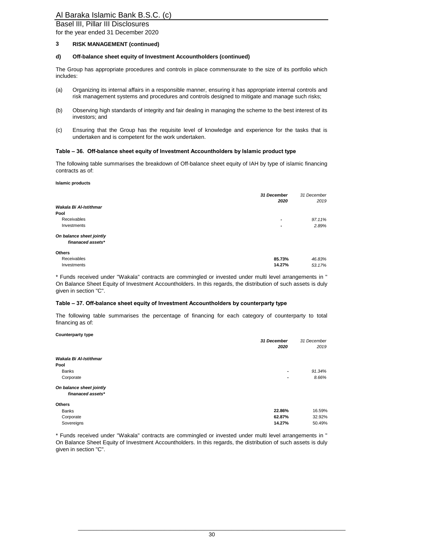Basel III, Pillar III Disclosures

for the year ended 31 December 2020

#### **3 RISK MANAGEMENT (continued)**

#### **d) Off-balance sheet equity of Investment Accountholders (continued)**

The Group has appropriate procedures and controls in place commensurate to the size of its portfolio which includes:

- (a) Organizing its internal affairs in a responsible manner, ensuring it has appropriate internal controls and risk management systems and procedures and controls designed to mitigate and manage such risks;
- (b) Observing high standards of integrity and fair dealing in managing the scheme to the best interest of its investors; and
- (c) Ensuring that the Group has the requisite level of knowledge and experience for the tasks that is undertaken and is competent for the work undertaken.

#### **Table – 36. Off-balance sheet equity of Investment Accountholders by Islamic product type**

The following table summarises the breakdown of Off-balance sheet equity of IAH by type of islamic financing contracts as of:

#### **Islamic products**

**Counterparty type**

|                                               | 31 December<br>2020      | 31 December<br>2019 |
|-----------------------------------------------|--------------------------|---------------------|
| Wakala Bi Al-Istithmar                        |                          |                     |
| Pool                                          |                          |                     |
| Receivables                                   | $\overline{\phantom{a}}$ | 97.11%              |
| Investments                                   | $\overline{\phantom{a}}$ | 2.89%               |
| On balance sheet jointly<br>finanaced assets* |                          |                     |
| Others                                        |                          |                     |
| Receivables                                   | 85.73%                   | 46.83%              |
| Investments                                   | 14.27%                   | 53.17%              |

\* Funds received under "Wakala" contracts are commingled or invested under multi level arrangements in " On Balance Sheet Equity of Investment Accountholders. In this regards, the distribution of such assets is duly given in section "C".

#### **Table – 37. Off-balance sheet equity of Investment Accountholders by counterparty type**

The following table summarises the percentage of financing for each category of counterparty to total financing as of:

| Counterparty type                             | 31 December<br>2020 | 31 December<br>2019 |
|-----------------------------------------------|---------------------|---------------------|
| Wakala Bi Al-Istithmar                        |                     |                     |
| Pool                                          |                     |                     |
| <b>Banks</b>                                  | ۰                   | 91.34%              |
| Corporate                                     | ۰                   | 8.66%               |
| On balance sheet jointly<br>finanaced assets* |                     |                     |
| <b>Others</b>                                 |                     |                     |
| <b>Banks</b>                                  | 22.86%              | 16.59%              |
| Corporate                                     | 62.87%              | 32.92%              |
| Sovereigns                                    | 14.27%              | 50.49%              |

\* Funds received under "Wakala" contracts are commingled or invested under multi level arrangements in " On Balance Sheet Equity of Investment Accountholders. In this regards, the distribution of such assets is duly given in section "C".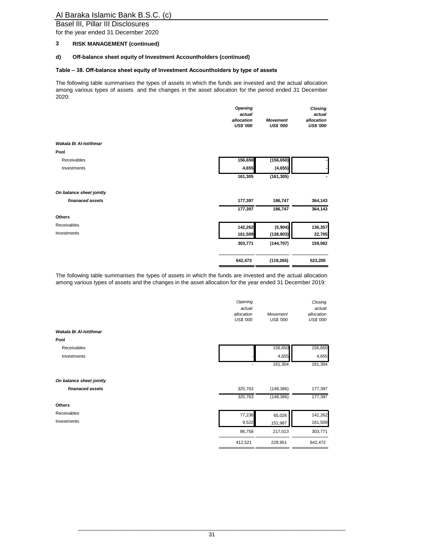Basel III, Pillar III Disclosures

for the year ended 31 December 2020

#### **3 RISK MANAGEMENT (continued)**

## **d) Off-balance sheet equity of Investment Accountholders (continued)**

#### **Table – 38. Off-balance sheet equity of Investment Accountholders by type of assets**

The following table summarises the types of assets in which the funds are invested and the actual allocation among various types of assets and the changes in the asset allocation for the period ended 31 December 2020:

|                          | Opening          |                  | Closing          |
|--------------------------|------------------|------------------|------------------|
|                          | actual           |                  | actual           |
|                          | allocation       | <b>Movement</b>  | allocation       |
|                          | <b>US\$ '000</b> | <b>US\$ '000</b> | <b>US\$ '000</b> |
| Wakala Bi Al-Istithmar   |                  |                  |                  |
| Pool                     |                  |                  |                  |
| Receivables              | 156,650          | (156, 650)       |                  |
| Investments              | 4,655            | (4, 655)         |                  |
|                          | 161,305          | (161, 305)       |                  |
| On balance sheet jointly |                  |                  |                  |
| finanaced assets         | 177,397          | 186,747          | 364,143          |
|                          | 177,397          | 186,747          | 364,143          |
| Others                   |                  |                  |                  |
| Receivables              | 142,262          | (5,904)          | 136,357          |
| Investments              | 161,509          | (138, 803)       | 22,705           |
|                          | 303,771          | (144, 707)       | 159,062          |
|                          | 642,473          | (119, 265)       | 523,205          |
|                          |                  |                  |                  |

The following table summarises the types of assets in which the funds are invested and the actual allocation among various types of assets and the changes in the asset allocation for the year ended 31 December 2019:

|                          | Opening<br>actual<br>allocation<br><b>US\$ '000</b> | Movement<br><b>US\$ '000</b> | Closing<br>actual<br>allocation<br><b>US\$ '000</b> |
|--------------------------|-----------------------------------------------------|------------------------------|-----------------------------------------------------|
| Wakala Bi Al-Istithmar   |                                                     |                              |                                                     |
| Pool                     |                                                     |                              |                                                     |
| Receivables              |                                                     | 156,650                      | 156,650                                             |
| Investments              |                                                     | 4,655                        | 4,655                                               |
|                          |                                                     | 161,304                      | 161,304                                             |
| On balance sheet jointly |                                                     |                              |                                                     |
| finanaced assets         | 325,763                                             | (148, 366)                   | 177,397                                             |
|                          | 325,763                                             | (148, 366)                   | 177,397                                             |
| Others                   |                                                     |                              |                                                     |
| Receivables              | 77,236                                              | 65,026                       | 142,262                                             |
| Investments              | 9,522                                               | 151,987                      | 161,509                                             |
|                          | 86,758                                              | 217,013                      | 303,771                                             |
|                          | 412,521                                             | 229,951                      | 642,472                                             |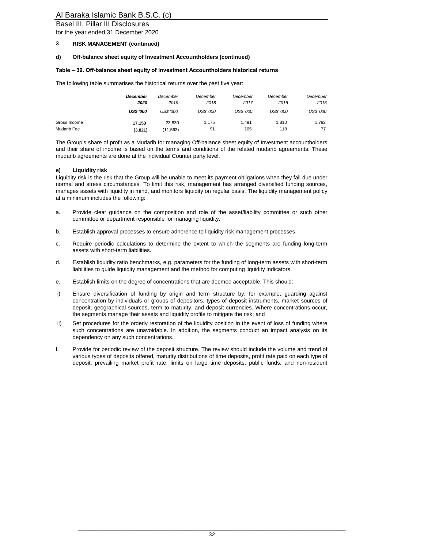## Basel III, Pillar III Disclosures

for the year ended 31 December 2020

#### **3 RISK MANAGEMENT (continued)**

#### **d) Off-balance sheet equity of Investment Accountholders (continued)**

#### **Table – 39. Off-balance sheet equity of Investment Accountholders historical returns**

The following table summarises the historical returns over the past five year:

|              | <b>December</b><br>2020 | December<br>2019<br><b>US\$ '000</b> | December<br>2018<br><b>US\$ '000</b> | December<br>2017<br><b>US\$ '000</b> | December<br>2016<br><b>US\$ '000</b> | December<br>2015<br><b>US\$ '000</b> |
|--------------|-------------------------|--------------------------------------|--------------------------------------|--------------------------------------|--------------------------------------|--------------------------------------|
|              | <b>US\$ '000</b>        |                                      |                                      |                                      |                                      |                                      |
| Gross Income | 17.153                  | 23.830                               | 1.175                                | 1.491                                | 1.810                                | 1.782                                |
| Mudarib Fee  | (3,821)                 | (11, 563)                            | 91                                   | 105                                  | 118                                  | 77                                   |

The Group's share of profit as a Mudarib for managing Off-balance sheet equity of Investment accountholders and their share of income is based on the terms and conditions of the related mudarib agreements. These mudarib agreements are done at the individual Counter party level.

#### **e) Liquidity risk**

Liquidity risk is the risk that the Group will be unable to meet its payment obligations when they fall due under normal and stress circumstances. To limit this risk, management has arranged diversified funding sources, manages assets with liquidity in mind, and monitors liquidity on regular basis. The liquidity management policy at a minimum includes the following:

- a. Provide clear guidance on the composition and role of the asset/liability committee or such other committee or department responsible for managing liquidity.
- b. Establish approval processes to ensure adherence to liquidity risk management processes.
- c. Require periodic calculations to determine the extent to which the segments are funding long-term assets with short-term liabilities.
- d. Establish liquidity ratio benchmarks, e.g. parameters for the funding of long-term assets with short-term liabilities to guide liquidity management and the method for computing liquidity indicators.
- e. Establish limits on the degree of concentrations that are deemed acceptable. This should:
- i) Ensure diversification of funding by origin and term structure by, for example, guarding against concentration by individuals or groups of depositors, types of deposit instruments, market sources of deposit, geographical sources, term to maturity, and deposit currencies. Where concentrations occur, the segments manage their assets and liquidity profile to mitigate the risk; and
- ii) Set procedures for the orderly restoration of the liquidity position in the event of loss of funding where such concentrations are unavoidable. In addition, the segments conduct an impact analysis on its dependency on any such concentrations.
- f. Provide for periodic review of the deposit structure. The review should include the volume and trend of various types of deposits offered, maturity distributions of time deposits, profit rate paid on each type of deposit, prevailing market profit rate, limits on large time deposits, public funds, and non-resident